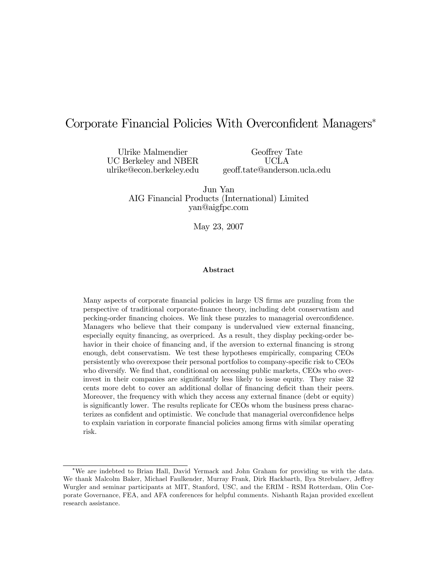# Corporate Financial Policies With Overconfident Managers<sup>∗</sup>

Ulrike Malmendier UC Berkeley and NBER ulrike@econ.berkeley.edu

Geoffrey Tate UCLA geoff.tate@anderson.ucla.edu

Jun Yan AIG Financial Products (International) Limited yan@aigfpc.com

May 23, 2007

#### Abstract

Many aspects of corporate financial policies in large US firms are puzzling from the perspective of traditional corporate-finance theory, including debt conservatism and pecking-order financing choices. We link these puzzles to managerial overconfidence. Managers who believe that their company is undervalued view external financing, especially equity financing, as overpriced. As a result, they display pecking-order behavior in their choice of financing and, if the aversion to external financing is strong enough, debt conservatism. We test these hypotheses empirically, comparing CEOs persistently who overexpose their personal portfolios to company-specific risk to CEOs who diversify. We find that, conditional on accessing public markets, CEOs who overinvest in their companies are significantly less likely to issue equity. They raise 32 cents more debt to cover an additional dollar of financing deficit than their peers. Moreover, the frequency with which they access any external finance (debt or equity) is significantly lower. The results replicate for CEOs whom the business press characterizes as confident and optimistic. We conclude that managerial overconfidence helps to explain variation in corporate financial policies among firms with similar operating risk.

<sup>∗</sup>We are indebted to Brian Hall, David Yermack and John Graham for providing us with the data. We thank Malcolm Baker, Michael Faulkender, Murray Frank, Dirk Hackbarth, Ilya Strebulaev, Jeffrey Wurgler and seminar participants at MIT, Stanford, USC, and the ERIM - RSM Rotterdam, Olin Corporate Governance, FEA, and AFA conferences for helpful comments. Nishanth Rajan provided excellent research assistance.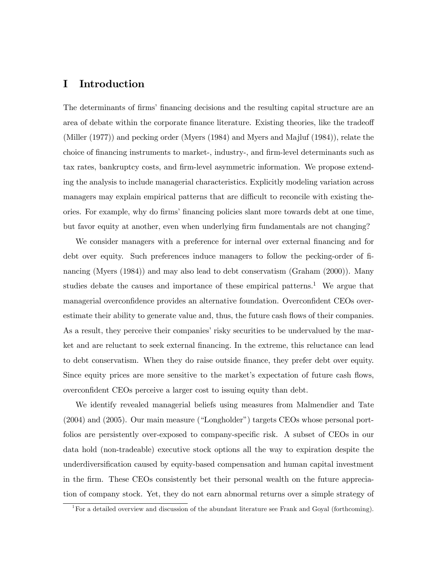# I Introduction

The determinants of firms' financing decisions and the resulting capital structure are an area of debate within the corporate finance literature. Existing theories, like the tradeoff (Miller (1977)) and pecking order (Myers (1984) and Myers and Majluf (1984)), relate the choice of financing instruments to market-, industry-, and firm-level determinants such as tax rates, bankruptcy costs, and firm-level asymmetric information. We propose extending the analysis to include managerial characteristics. Explicitly modeling variation across managers may explain empirical patterns that are difficult to reconcile with existing theories. For example, why do firms' financing policies slant more towards debt at one time, but favor equity at another, even when underlying firm fundamentals are not changing?

We consider managers with a preference for internal over external financing and for debt over equity. Such preferences induce managers to follow the pecking-order of financing (Myers (1984)) and may also lead to debt conservatism (Graham (2000)). Many studies debate the causes and importance of these empirical patterns.<sup>1</sup> We argue that managerial overconfidence provides an alternative foundation. Overconfident CEOs overestimate their ability to generate value and, thus, the future cash flows of their companies. As a result, they perceive their companies' risky securities to be undervalued by the market and are reluctant to seek external financing. In the extreme, this reluctance can lead to debt conservatism. When they do raise outside finance, they prefer debt over equity. Since equity prices are more sensitive to the market's expectation of future cash flows, overconfident CEOs perceive a larger cost to issuing equity than debt.

We identify revealed managerial beliefs using measures from Malmendier and Tate (2004) and (2005). Our main measure ("Longholder") targets CEOs whose personal portfolios are persistently over-exposed to company-specific risk. A subset of CEOs in our data hold (non-tradeable) executive stock options all the way to expiration despite the underdiversification caused by equity-based compensation and human capital investment in the firm. These CEOs consistently bet their personal wealth on the future appreciation of company stock. Yet, they do not earn abnormal returns over a simple strategy of

<sup>&</sup>lt;sup>1</sup>For a detailed overview and discussion of the abundant literature see Frank and Goyal (forthcoming).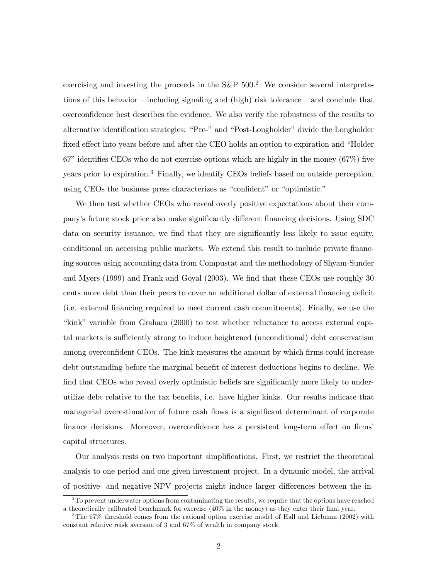exercising and investing the proceeds in the  $S\&P 500<sup>2</sup>$  We consider several interpretations of this behavior — including signaling and (high) risk tolerance — and conclude that overconfidence best describes the evidence. We also verify the robustness of the results to alternative identification strategies: "Pre-" and "Post-Longholder" divide the Longholder fixed effect into years before and after the CEO holds an option to expiration and "Holder 67" identifies CEOs who do not exercise options which are highly in the money (67%) five years prior to expiration.3 Finally, we identify CEOs beliefs based on outside perception, using CEOs the business press characterizes as "confident" or "optimistic."

We then test whether CEOs who reveal overly positive expectations about their company's future stock price also make significantly different financing decisions. Using SDC data on security issuance, we find that they are significantly less likely to issue equity, conditional on accessing public markets. We extend this result to include private financing sources using accounting data from Compustat and the methodology of Shyam-Sunder and Myers (1999) and Frank and Goyal (2003). We find that these CEOs use roughly 30 cents more debt than their peers to cover an additional dollar of external financing deficit (i.e. external financing required to meet current cash commitments). Finally, we use the "kink" variable from Graham (2000) to test whether reluctance to access external capital markets is sufficiently strong to induce heightened (unconditional) debt conservatism among overconfident CEOs. The kink measures the amount by which firms could increase debt outstanding before the marginal benefit of interest deductions begins to decline. We find that CEOs who reveal overly optimistic beliefs are significantly more likely to underutilize debt relative to the tax benefits, i.e. have higher kinks. Our results indicate that managerial overestimation of future cash flows is a significant determinant of corporate finance decisions. Moreover, overconfidence has a persistent long-term effect on firms' capital structures.

Our analysis rests on two important simplifications. First, we restrict the theoretical analysis to one period and one given investment project. In a dynamic model, the arrival of positive- and negative-NPV projects might induce larger differences between the in-

 $2^2$ To prevent underwater options from contaminating the results, we require that the options have reached a theoretically calibrated benchmark for exercise (40% in the money) as they enter their final year.

<sup>3</sup>The 67% threshold comes from the rational option exercise model of Hall and Liebman (2002) with constant relative reisk aversion of 3 and 67% of wealth in company stock.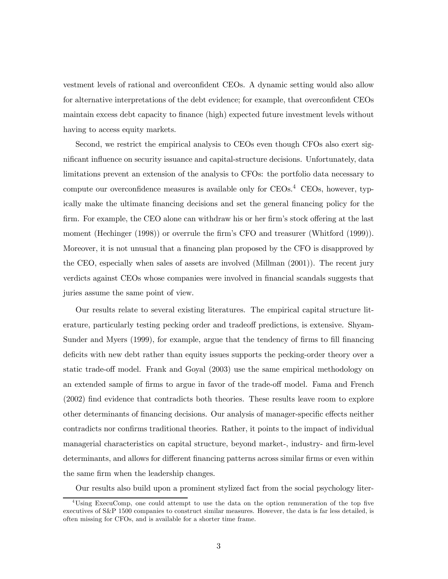vestment levels of rational and overconfident CEOs. A dynamic setting would also allow for alternative interpretations of the debt evidence; for example, that overconfident CEOs maintain excess debt capacity to finance (high) expected future investment levels without having to access equity markets.

Second, we restrict the empirical analysis to CEOs even though CFOs also exert significant influence on security issuance and capital-structure decisions. Unfortunately, data limitations prevent an extension of the analysis to CFOs: the portfolio data necessary to compute our overconfidence measures is available only for  $CEOs<sup>4</sup>$  CEOs, however, typically make the ultimate financing decisions and set the general financing policy for the firm. For example, the CEO alone can withdraw his or her firm's stock offering at the last moment (Hechinger (1998)) or overrule the firm's CFO and treasurer (Whitford (1999)). Moreover, it is not unusual that a financing plan proposed by the CFO is disapproved by the CEO, especially when sales of assets are involved (Millman (2001)). The recent jury verdicts against CEOs whose companies were involved in financial scandals suggests that juries assume the same point of view.

Our results relate to several existing literatures. The empirical capital structure literature, particularly testing pecking order and tradeoff predictions, is extensive. Shyam-Sunder and Myers (1999), for example, argue that the tendency of firms to fill financing deficits with new debt rather than equity issues supports the pecking-order theory over a static trade-off model. Frank and Goyal (2003) use the same empirical methodology on an extended sample of firms to argue in favor of the trade-off model. Fama and French (2002) find evidence that contradicts both theories. These results leave room to explore other determinants of financing decisions. Our analysis of manager-specific effects neither contradicts nor confirms traditional theories. Rather, it points to the impact of individual managerial characteristics on capital structure, beyond market-, industry- and firm-level determinants, and allows for different financing patterns across similar firms or even within the same firm when the leadership changes.

Our results also build upon a prominent stylized fact from the social psychology liter-

<sup>4</sup>Using ExecuComp, one could attempt to use the data on the option remuneration of the top five executives of S&P 1500 companies to construct similar measures. However, the data is far less detailed, is often missing for CFOs, and is available for a shorter time frame.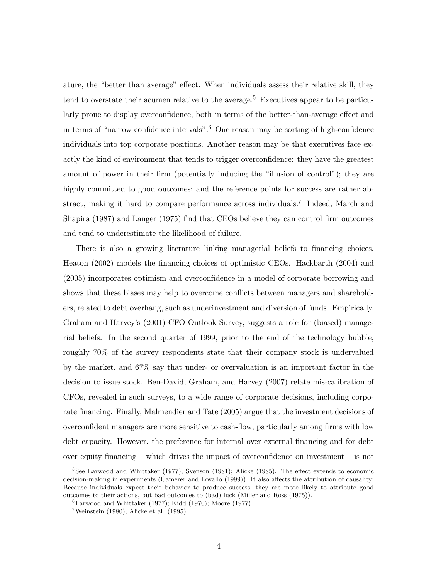ature, the "better than average" effect. When individuals assess their relative skill, they tend to overstate their acumen relative to the average.<sup>5</sup> Executives appear to be particularly prone to display overconfidence, both in terms of the better-than-average effect and in terms of "narrow confidence intervals".<sup>6</sup> One reason may be sorting of high-confidence individuals into top corporate positions. Another reason may be that executives face exactly the kind of environment that tends to trigger overconfidence: they have the greatest amount of power in their firm (potentially inducing the "illusion of control"); they are highly committed to good outcomes; and the reference points for success are rather abstract, making it hard to compare performance across individuals.<sup>7</sup> Indeed, March and Shapira (1987) and Langer (1975) find that CEOs believe they can control firm outcomes and tend to underestimate the likelihood of failure.

There is also a growing literature linking managerial beliefs to financing choices. Heaton (2002) models the financing choices of optimistic CEOs. Hackbarth (2004) and (2005) incorporates optimism and overconfidence in a model of corporate borrowing and shows that these biases may help to overcome conflicts between managers and shareholders, related to debt overhang, such as underinvestment and diversion of funds. Empirically, Graham and Harvey's (2001) CFO Outlook Survey, suggests a role for (biased) managerial beliefs. In the second quarter of 1999, prior to the end of the technology bubble, roughly 70% of the survey respondents state that their company stock is undervalued by the market, and 67% say that under- or overvaluation is an important factor in the decision to issue stock. Ben-David, Graham, and Harvey (2007) relate mis-calibration of CFOs, revealed in such surveys, to a wide range of corporate decisions, including corporate financing. Finally, Malmendier and Tate (2005) argue that the investment decisions of overconfident managers are more sensitive to cash-flow, particularly among firms with low debt capacity. However, the preference for internal over external financing and for debt over equity financing – which drives the impact of overconfidence on investment – is not

<sup>&</sup>lt;sup>5</sup>See Larwood and Whittaker (1977); Svenson (1981); Alicke (1985). The effect extends to economic decision-making in experiments (Camerer and Lovallo (1999)). It also affects the attribution of causality: Because individuals expect their behavior to produce success, they are more likely to attribute good outcomes to their actions, but bad outcomes to (bad) luck (Miller and Ross (1975)).

 ${}^{6}$ Larwood and Whittaker (1977); Kidd (1970); Moore (1977).

<sup>&</sup>lt;sup>7</sup>Weinstein (1980); Alicke et al. (1995).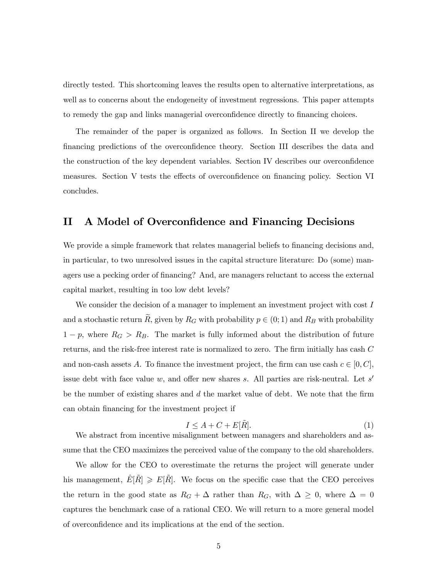directly tested. This shortcoming leaves the results open to alternative interpretations, as well as to concerns about the endogeneity of investment regressions. This paper attempts to remedy the gap and links managerial overconfidence directly to financing choices.

The remainder of the paper is organized as follows. In Section II we develop the financing predictions of the overconfidence theory. Section III describes the data and the construction of the key dependent variables. Section IV describes our overconfidence measures. Section V tests the effects of overconfidence on financing policy. Section VI concludes.

# II A Model of Overconfidence and Financing Decisions

We provide a simple framework that relates managerial beliefs to financing decisions and, in particular, to two unresolved issues in the capital structure literature: Do (some) managers use a pecking order of financing? And, are managers reluctant to access the external capital market, resulting in too low debt levels?

We consider the decision of a manager to implement an investment project with cost I and a stochastic return  $\widetilde{R}$ , given by  $R_G$  with probability  $p \in (0, 1)$  and  $R_B$  with probability  $1 - p$ , where  $R_G > R_B$ . The market is fully informed about the distribution of future returns, and the risk-free interest rate is normalized to zero. The firm initially has cash C and non-cash assets A. To finance the investment project, the firm can use cash  $c \in [0, C]$ , issue debt with face value w, and offer new shares s. All parties are risk-neutral. Let  $s'$ be the number of existing shares and  $d$  the market value of debt. We note that the firm can obtain financing for the investment project if

$$
I \le A + C + E[\tilde{R}].\tag{1}
$$

We abstract from incentive misalignment between managers and shareholders and assume that the CEO maximizes the perceived value of the company to the old shareholders.

We allow for the CEO to overestimate the returns the project will generate under his management,  $E[\hat{R}] \ge E[\hat{R}]$ . We focus on the specific case that the CEO perceives the return in the good state as  $R_G + \Delta$  rather than  $R_G$ , with  $\Delta \geq 0$ , where  $\Delta = 0$ captures the benchmark case of a rational CEO. We will return to a more general model of overconfidence and its implications at the end of the section.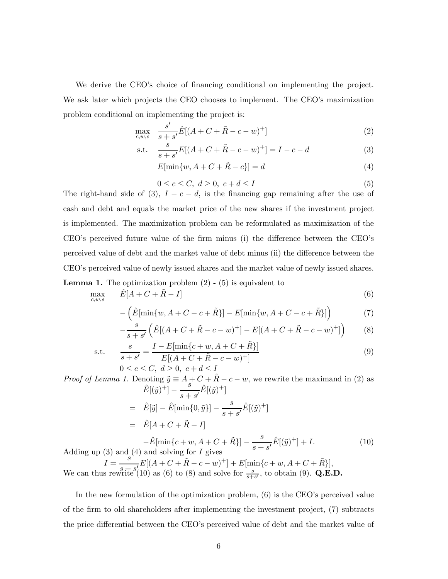We derive the CEO's choice of financing conditional on implementing the project. We ask later which projects the CEO chooses to implement. The CEO's maximization problem conditional on implementing the project is:

$$
\max_{c,w,s} \quad \frac{s'}{s+s'}\hat{E}[(A+C+\tilde{R}-c-w)^+] \tag{2}
$$

s.t. 
$$
\frac{s}{s+s'}E[(A+C+\tilde{R}-c-w)^+] = I - c - d
$$
 (3)

$$
E[\min\{w, A + C + \tilde{R} - c\}] = d \tag{4}
$$

$$
0 \le c \le C, \ d \ge 0, \ c + d \le I \tag{5}
$$

The right-hand side of (3),  $I - c - d$ , is the financing gap remaining after the use of cash and debt and equals the market price of the new shares if the investment project is implemented. The maximization problem can be reformulated as maximization of the CEO's perceived future value of the firm minus (i) the difference between the CEO's perceived value of debt and the market value of debt minus (ii) the difference between the CEO's perceived value of newly issued shares and the market value of newly issued shares. **Lemma 1.** The optimization problem  $(2)$  -  $(5)$  is equivalent to

$$
\max_{c,w,s} \qquad \hat{E}[A+C+\tilde{R}-I] \tag{6}
$$

$$
-\left(\hat{E}[\min\{w, A+C-c+\tilde{R}\}]-E[\min\{w, A+C-c+\tilde{R}\}]\right) \tag{7}
$$

$$
-\frac{s}{s+s'}\left(\hat{E}[(A+C+\tilde{R}-c-w)^{+}] - E[(A+C+\tilde{R}-c-w)^{+}]\right) \tag{8}
$$

s.t. 
$$
\frac{s}{s+s'} = \frac{I - E[\min\{c+w, A+C+\tilde{R}\}]}{E[(A+C+\tilde{R}-c-w)^+]}
$$
(9)

$$
0 \le c \le C, \ d \ge 0, \ c + d \le I
$$

*Proof of Lemma 1.* Denoting  $\tilde{y} \equiv A + C + \tilde{R} - c - w$ , we rewrite the maximand in (2) as  $\hat{E}[(\tilde{y})^+] - \frac{s}{s+s'}\hat{E}[(\tilde{y})^+]$ 

$$
= \hat{E}[\tilde{y}] - \hat{E}[\min\{0, \tilde{y}\}] - \frac{s}{s + s'} \hat{E}[(\tilde{y})^+]
$$
  
\n
$$
= \hat{E}[A + C + \tilde{R} - I]
$$
  
\n
$$
- \hat{E}[\min\{c + w, A + C + \tilde{R}\}] - \frac{s}{s + s'} \hat{E}[(\tilde{y})^+] + I.
$$
 (10)

Adding up (3) and (4) and solving for I gives<br>  $I = \frac{s}{\sqrt{5}} E[(A + C + \tilde{R} - c - w)^+] + E[\min\{c + w, A + C + \tilde{R}\}],$ <br>
We see that  $\max_{s \to +} \frac{s + s'(10)}{s(s)}$  as (6) to (8) and solve for  $s$  to obtain (0)  $\Omega$  F. We can thus rewrite  $s(t)$  as (6) to (8) and solve for  $\frac{s}{s+s'}$ , to obtain (9). Q.E.D.

In the new formulation of the optimization problem, (6) is the CEO's perceived value of the firm to old shareholders after implementing the investment project, (7) subtracts the price differential between the CEO's perceived value of debt and the market value of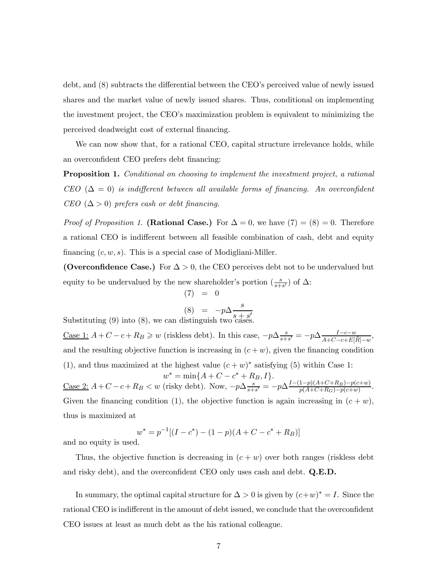debt, and (8) subtracts the differential between the CEO's perceived value of newly issued shares and the market value of newly issued shares. Thus, conditional on implementing the investment project, the CEO's maximization problem is equivalent to minimizing the perceived deadweight cost of external financing.

We can now show that, for a rational CEO, capital structure irrelevance holds, while an overconfident CEO prefers debt financing:

Proposition 1. Conditional on choosing to implement the investment project, a rational CEO ( $\Delta = 0$ ) is indifferent between all available forms of financing. An overconfident CEO  $(\Delta > 0)$  prefers cash or debt financing.

*Proof of Proposition 1.* (Rational Case.) For  $\Delta = 0$ , we have  $(7) = (8) = 0$ . Therefore a rational CEO is indifferent between all feasible combination of cash, debt and equity financing  $(c, w, s)$ . This is a special case of Modigliani-Miller.

(Overconfidence Case.) For  $\Delta > 0$ , the CEO perceives debt not to be undervalued but equity to be undervalued by the new shareholder's portion  $\left(\frac{s}{s+s'}\right)$  of  $\Delta$ :

$$
(7) = 0
$$

$$
(8) = -n\Delta \frac{s}{}
$$

 $(8) = -p\Delta \frac{s}{s+s'}$ <br>Substituting (9) into (8), we can distinguish two cases.

Case 1:  $A + C - c + R_B \geq w$  (riskless debt). In this case,  $-p\Delta \frac{s}{s+s'} = -p\Delta \frac{I-c-w}{A+C-c+E[\tilde{R}]-w}$ , and the resulting objective function is increasing in  $(c + w)$ , given the financing condition (1), and thus maximized at the highest value  $(c + w)^*$  satisfying (5) within Case 1:  $w^* = \min\{A + C - c^* + R_B, I\}.$ Case 2:  $A + C - c + R_B < w$  (risky debt). Now,  $-p\Delta \frac{s}{s+s'} = -p\Delta \frac{I-(1-p)(A+C+R_B)-p(c+w)}{p(A+C+R_G)-p(c+w)}$ . Given the financing condition (1), the objective function is again increasing in  $(c + w)$ . thus is maximized at

$$
w^* = p^{-1}[(I - c^*) - (1 - p)(A + C - c^* + R_B)]
$$

and no equity is used.

Thus, the objective function is decreasing in  $(c + w)$  over both ranges (riskless debt and risky debt), and the overconfident CEO only uses cash and debt. Q.E.D.

In summary, the optimal capital structure for  $\Delta > 0$  is given by  $(c+w)^* = I$ . Since the rational CEO is indifferent in the amount of debt issued, we conclude that the overconfident CEO issues at least as much debt as the his rational colleague.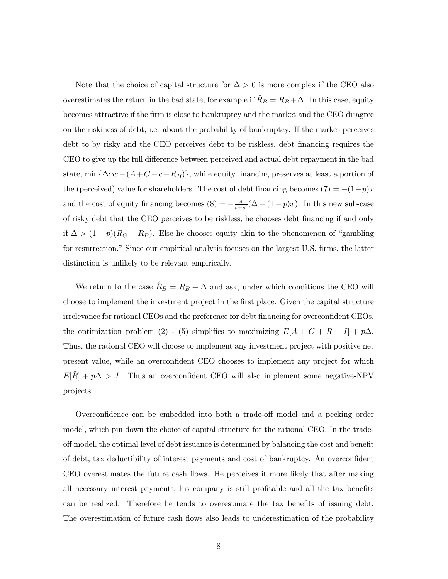Note that the choice of capital structure for  $\Delta > 0$  is more complex if the CEO also overestimates the return in the bad state, for example if  $R_B = R_B + \Delta$ . In this case, equity becomes attractive if the firm is close to bankruptcy and the market and the CEO disagree on the riskiness of debt, i.e. about the probability of bankruptcy. If the market perceives debt to by risky and the CEO perceives debt to be riskless, debt financing requires the CEO to give up the full difference between perceived and actual debt repayment in the bad state,  $\min{\{\Delta; w - (A+C-c+R_B)\}}$ , while equity financing preserves at least a portion of the (perceived) value for shareholders. The cost of debt financing becomes  $(7) = -(1-p)x$ and the cost of equity financing becomes  $(8) = -\frac{s}{s+s'}(\Delta - (1-p)x)$ . In this new sub-case of risky debt that the CEO perceives to be riskless, he chooses debt financing if and only if  $\Delta > (1 - p)(R_G - R_B)$ . Else he chooses equity akin to the phenomenon of "gambling" for resurrection." Since our empirical analysis focuses on the largest U.S. firms, the latter distinction is unlikely to be relevant empirically.

We return to the case  $\hat{R}_B = R_B + \Delta$  and ask, under which conditions the CEO will choose to implement the investment project in the first place. Given the capital structure irrelevance for rational CEOs and the preference for debt financing for overconfident CEOs, the optimization problem (2) - (5) simplifies to maximizing  $E[A + C + \tilde{R} - I] + p\Delta$ . Thus, the rational CEO will choose to implement any investment project with positive net present value, while an overconfident CEO chooses to implement any project for which  $E[\hat{R}] + p\Delta > I$ . Thus an overconfident CEO will also implement some negative-NPV projects.

Overconfidence can be embedded into both a trade-off model and a pecking order model, which pin down the choice of capital structure for the rational CEO. In the tradeoff model, the optimal level of debt issuance is determined by balancing the cost and benefit of debt, tax deductibility of interest payments and cost of bankruptcy. An overconfident CEO overestimates the future cash flows. He perceives it more likely that after making all necessary interest payments, his company is still profitable and all the tax benefits can be realized. Therefore he tends to overestimate the tax benefits of issuing debt. The overestimation of future cash flows also leads to underestimation of the probability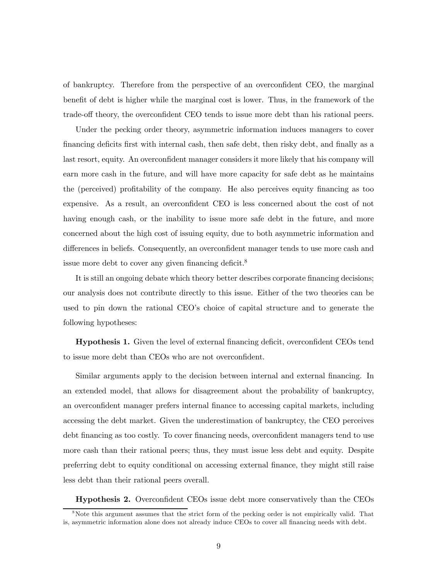of bankruptcy. Therefore from the perspective of an overconfident CEO, the marginal benefit of debt is higher while the marginal cost is lower. Thus, in the framework of the trade-off theory, the overconfident CEO tends to issue more debt than his rational peers.

Under the pecking order theory, asymmetric information induces managers to cover financing deficits first with internal cash, then safe debt, then risky debt, and finally as a last resort, equity. An overconfident manager considers it more likely that his company will earn more cash in the future, and will have more capacity for safe debt as he maintains the (perceived) profitability of the company. He also perceives equity financing as too expensive. As a result, an overconfident CEO is less concerned about the cost of not having enough cash, or the inability to issue more safe debt in the future, and more concerned about the high cost of issuing equity, due to both asymmetric information and differences in beliefs. Consequently, an overconfident manager tends to use more cash and issue more debt to cover any given financing deficit.<sup>8</sup>

It is still an ongoing debate which theory better describes corporate financing decisions; our analysis does not contribute directly to this issue. Either of the two theories can be used to pin down the rational CEO's choice of capital structure and to generate the following hypotheses:

Hypothesis 1. Given the level of external financing deficit, overconfident CEOs tend to issue more debt than CEOs who are not overconfident.

Similar arguments apply to the decision between internal and external financing. In an extended model, that allows for disagreement about the probability of bankruptcy, an overconfident manager prefers internal finance to accessing capital markets, including accessing the debt market. Given the underestimation of bankruptcy, the CEO perceives debt financing as too costly. To cover financing needs, overconfident managers tend to use more cash than their rational peers; thus, they must issue less debt and equity. Despite preferring debt to equity conditional on accessing external finance, they might still raise less debt than their rational peers overall.

Hypothesis 2. Overconfident CEOs issue debt more conservatively than the CEOs

<sup>&</sup>lt;sup>8</sup>Note this argument assumes that the strict form of the pecking order is not empirically valid. That is, asymmetric information alone does not already induce CEOs to cover all financing needs with debt.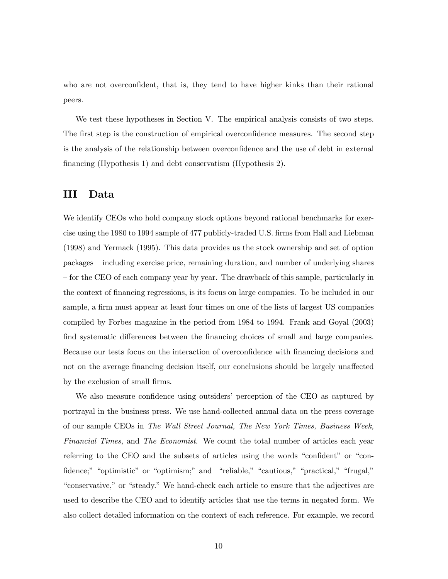who are not overconfident, that is, they tend to have higher kinks than their rational peers.

We test these hypotheses in Section V. The empirical analysis consists of two steps. The first step is the construction of empirical overconfidence measures. The second step is the analysis of the relationship between overconfidence and the use of debt in external financing (Hypothesis 1) and debt conservatism (Hypothesis 2).

## III Data

We identify CEOs who hold company stock options beyond rational benchmarks for exercise using the 1980 to 1994 sample of 477 publicly-traded U.S. firms from Hall and Liebman (1998) and Yermack (1995). This data provides us the stock ownership and set of option packages — including exercise price, remaining duration, and number of underlying shares — for the CEO of each company year by year. The drawback of this sample, particularly in the context of financing regressions, is its focus on large companies. To be included in our sample, a firm must appear at least four times on one of the lists of largest US companies compiled by Forbes magazine in the period from 1984 to 1994. Frank and Goyal (2003) find systematic differences between the financing choices of small and large companies. Because our tests focus on the interaction of overconfidence with financing decisions and not on the average financing decision itself, our conclusions should be largely unaffected by the exclusion of small firms.

We also measure confidence using outsiders' perception of the CEO as captured by portrayal in the business press. We use hand-collected annual data on the press coverage of our sample CEOs in The Wall Street Journal, The New York Times, Business Week, Financial Times, and The Economist. We count the total number of articles each year referring to the CEO and the subsets of articles using the words "confident" or "confidence;" "optimistic" or "optimism;" and "reliable," "cautious," "practical," "frugal," "conservative," or "steady." We hand-check each article to ensure that the adjectives are used to describe the CEO and to identify articles that use the terms in negated form. We also collect detailed information on the context of each reference. For example, we record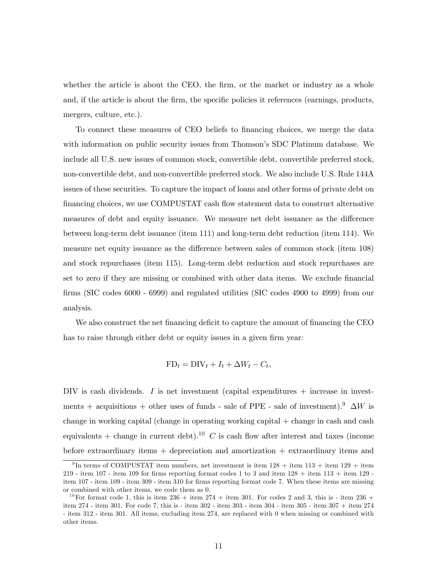whether the article is about the CEO, the firm, or the market or industry as a whole and, if the article is about the firm, the specific policies it references (earnings, products, mergers, culture, etc.).

To connect these measures of CEO beliefs to financing choices, we merge the data with information on public security issues from Thomson's SDC Platinum database. We include all U.S. new issues of common stock, convertible debt, convertible preferred stock, non-convertible debt, and non-convertible preferred stock. We also include U.S. Rule 144A issues of these securities. To capture the impact of loans and other forms of private debt on financing choices, we use COMPUSTAT cash flow statement data to construct alternative measures of debt and equity issuance. We measure net debt issuance as the difference between long-term debt issuance (item 111) and long-term debt reduction (item 114). We measure net equity issuance as the difference between sales of common stock (item 108) and stock repurchases (item 115). Long-term debt reduction and stock repurchases are set to zero if they are missing or combined with other data items. We exclude financial firms (SIC codes 6000 - 6999) and regulated utilities (SIC codes 4900 to 4999) from our analysis.

We also construct the net financing deficit to capture the amount of financing the CEO has to raise through either debt or equity issues in a given firm year:

$$
FD_t = DIV_t + I_t + \Delta W_t - C_t,
$$

DIV is cash dividends. I is net investment (capital expenditures + increase in investments + acquisitions + other uses of funds - sale of PPE - sale of investment).<sup>9</sup>  $\Delta W$  is change in working capital (change in operating working capital + change in cash and cash equivalents + change in current debt).<sup>10</sup> C is cash flow after interest and taxes (income before extraordinary items  $+$  depreciation and amortization  $+$  extraordinary items and

<sup>&</sup>lt;sup>9</sup>In terms of COMPUSTAT item numbers, net investment is item  $128 +$  item  $113 +$  item  $129 +$  item 219 - item 107 - item 109 for firms reporting format codes 1 to 3 and item  $128 +$  item  $113 +$  item 129 item 107 - item 109 - item 309 - item 310 for firms reporting format code 7. When these items are missing or combined with other items, we code them as 0.

<sup>&</sup>lt;sup>10</sup>For format code 1, this is item 236 + item 274 + item 301. For codes 2 and 3, this is - item 236 + item 274 - item 301. For code 7, this is - item 302 - item 303 - item 304 - item 305 - item 307 + item 274 - item 312 - item 301. All items, excluding item 274, are replaced with 0 when missing or combined with other items.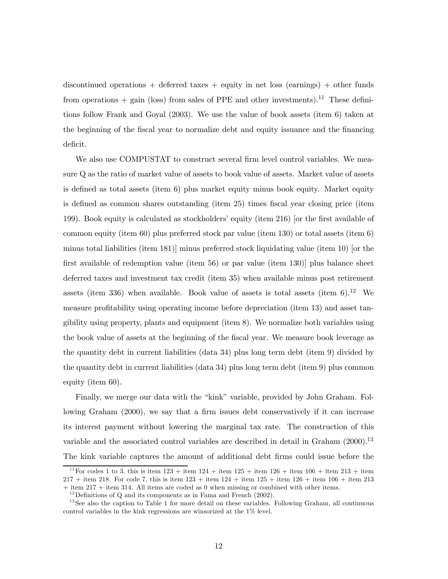discontinued operations  $+$  deferred taxes  $+$  equity in net loss (earnings)  $+$  other funds from operations  $+$  gain (loss) from sales of PPE and other investments).<sup>11</sup> These definitions follow Frank and Goyal (2003). We use the value of book assets (item 6) taken at the beginning of the fiscal year to normalize debt and equity issuance and the financing deficit.

We also use COMPUSTAT to construct several firm level control variables. We measure Q as the ratio of market value of assets to book value of assets. Market value of assets is defined as total assets (item 6) plus market equity minus book equity. Market equity is defined as common shares outstanding (item 25) times fiscal year closing price (item 199). Book equity is calculated as stockholders' equity (item 216) [or the first available of common equity (item 60) plus preferred stock par value (item 130) or total assets (item 6) minus total liabilities (item 181)] minus preferred stock liquidating value (item 10) [or the first available of redemption value (item 56) or par value (item 130)] plus balance sheet deferred taxes and investment tax credit (item 35) when available minus post retirement assets (item 336) when available. Book value of assets is total assets (item  $6$ ).<sup>12</sup> We measure profitability using operating income before depreciation (item 13) and asset tangibility using property, plants and equipment (item 8). We normalize both variables using the book value of assets at the beginning of the fiscal year. We measure book leverage as the quantity debt in current liabilities (data 34) plus long term debt (item 9) divided by the quantity debt in current liabilities (data 34) plus long term debt (item 9) plus common equity (item 60).

Finally, we merge our data with the "kink" variable, provided by John Graham. Following Graham (2000), we say that a firm issues debt conservatively if it can increase its interest payment without lowering the marginal tax rate. The construction of this variable and the associated control variables are described in detail in Graham (2000).13 The kink variable captures the amount of additional debt firms could issue before the

<sup>&</sup>lt;sup>11</sup> For codes 1 to 3, this is item  $123 +$  item  $124 +$  item  $126 +$  item  $126 +$  item  $106 +$  item  $213 +$  item  $217 +$  item 218. For code 7, this is item  $123 +$  item  $124 +$  item  $126 +$  item  $126 +$  item  $106 +$  item  $213$ 

<sup>+</sup> item 217 + item 314. All items are coded as 0 when missing or combined with other items.

 $12$  Definitions of Q and its components as in Fama and French (2002).

 $13$  See also the caption to Table 1 for more detail on these variables. Following Graham, all continuous control variables in the kink regressions are winsorized at the 1% level.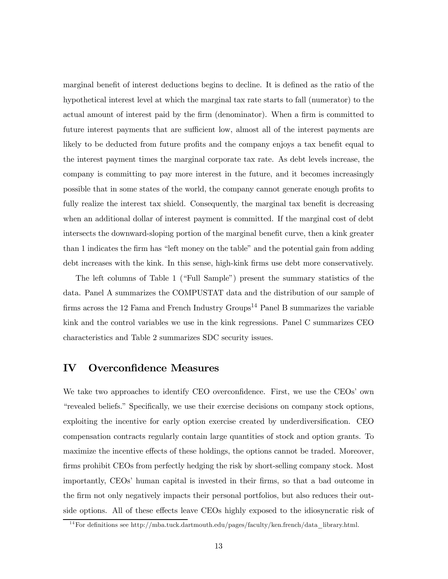marginal benefit of interest deductions begins to decline. It is defined as the ratio of the hypothetical interest level at which the marginal tax rate starts to fall (numerator) to the actual amount of interest paid by the firm (denominator). When a firm is committed to future interest payments that are sufficient low, almost all of the interest payments are likely to be deducted from future profits and the company enjoys a tax benefit equal to the interest payment times the marginal corporate tax rate. As debt levels increase, the company is committing to pay more interest in the future, and it becomes increasingly possible that in some states of the world, the company cannot generate enough profits to fully realize the interest tax shield. Consequently, the marginal tax benefit is decreasing when an additional dollar of interest payment is committed. If the marginal cost of debt intersects the downward-sloping portion of the marginal benefit curve, then a kink greater than 1 indicates the firm has "left money on the table" and the potential gain from adding debt increases with the kink. In this sense, high-kink firms use debt more conservatively.

The left columns of Table 1 ("Full Sample") present the summary statistics of the data. Panel A summarizes the COMPUSTAT data and the distribution of our sample of firms across the 12 Fama and French Industry Groups<sup>14</sup> Panel B summarizes the variable kink and the control variables we use in the kink regressions. Panel C summarizes CEO characteristics and Table 2 summarizes SDC security issues.

## IV Overconfidence Measures

We take two approaches to identify CEO overconfidence. First, we use the CEOs' own "revealed beliefs." Specifically, we use their exercise decisions on company stock options, exploiting the incentive for early option exercise created by underdiversification. CEO compensation contracts regularly contain large quantities of stock and option grants. To maximize the incentive effects of these holdings, the options cannot be traded. Moreover, firms prohibit CEOs from perfectly hedging the risk by short-selling company stock. Most importantly, CEOs' human capital is invested in their firms, so that a bad outcome in the firm not only negatively impacts their personal portfolios, but also reduces their outside options. All of these effects leave CEOs highly exposed to the idiosyncratic risk of

 $^{14}$  For definitions see http://mba.tuck.dartmouth.edu/pages/faculty/ken.french/data\_library.html.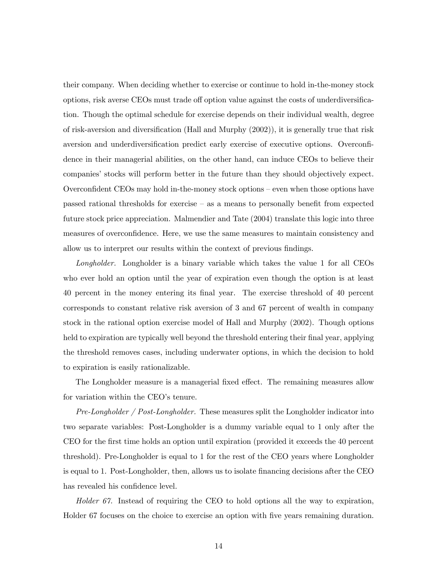their company. When deciding whether to exercise or continue to hold in-the-money stock options, risk averse CEOs must trade off option value against the costs of underdiversification. Though the optimal schedule for exercise depends on their individual wealth, degree of risk-aversion and diversification (Hall and Murphy (2002)), it is generally true that risk aversion and underdiversification predict early exercise of executive options. Overconfidence in their managerial abilities, on the other hand, can induce CEOs to believe their companies' stocks will perform better in the future than they should objectively expect. Overconfident CEOs may hold in-the-money stock options — even when those options have passed rational thresholds for exercise — as a means to personally benefit from expected future stock price appreciation. Malmendier and Tate (2004) translate this logic into three measures of overconfidence. Here, we use the same measures to maintain consistency and allow us to interpret our results within the context of previous findings.

Longholder. Longholder is a binary variable which takes the value 1 for all CEOs who ever hold an option until the year of expiration even though the option is at least 40 percent in the money entering its final year. The exercise threshold of 40 percent corresponds to constant relative risk aversion of 3 and 67 percent of wealth in company stock in the rational option exercise model of Hall and Murphy (2002). Though options held to expiration are typically well beyond the threshold entering their final year, applying the threshold removes cases, including underwater options, in which the decision to hold to expiration is easily rationalizable.

The Longholder measure is a managerial fixed effect. The remaining measures allow for variation within the CEO's tenure.

Pre-Longholder / Post-Longholder. These measures split the Longholder indicator into two separate variables: Post-Longholder is a dummy variable equal to 1 only after the CEO for the first time holds an option until expiration (provided it exceeds the 40 percent threshold). Pre-Longholder is equal to 1 for the rest of the CEO years where Longholder is equal to 1. Post-Longholder, then, allows us to isolate financing decisions after the CEO has revealed his confidence level.

Holder  $67$ . Instead of requiring the CEO to hold options all the way to expiration, Holder 67 focuses on the choice to exercise an option with five years remaining duration.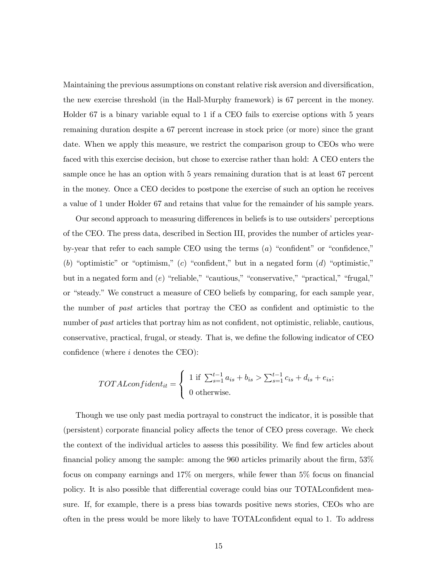Maintaining the previous assumptions on constant relative risk aversion and diversification, the new exercise threshold (in the Hall-Murphy framework) is 67 percent in the money. Holder 67 is a binary variable equal to 1 if a CEO fails to exercise options with 5 years remaining duration despite a 67 percent increase in stock price (or more) since the grant date. When we apply this measure, we restrict the comparison group to CEOs who were faced with this exercise decision, but chose to exercise rather than hold: A CEO enters the sample once he has an option with 5 years remaining duration that is at least 67 percent in the money. Once a CEO decides to postpone the exercise of such an option he receives a value of 1 under Holder 67 and retains that value for the remainder of his sample years.

Our second approach to measuring differences in beliefs is to use outsiders' perceptions of the CEO. The press data, described in Section III, provides the number of articles yearby-year that refer to each sample CEO using the terms  $(a)$  "confident" or "confidence," (b) "optimistic" or "optimism," (c) "confident," but in a negated form  $(d)$  "optimistic," but in a negated form and (e) "reliable," "cautious," "conservative," "practical," "frugal," or "steady." We construct a measure of CEO beliefs by comparing, for each sample year, the number of past articles that portray the CEO as confident and optimistic to the number of *past* articles that portray him as not confident, not optimistic, reliable, cautious, conservative, practical, frugal, or steady. That is, we define the following indicator of CEO confidence (where  $i$  denotes the CEO):

$$
TOTALconfident_{it} = \begin{cases} 1 \text{ if } \sum_{s=1}^{t-1} a_{is} + b_{is} > \sum_{s=1}^{t-1} c_{is} + d_{is} + e_{is}; \\ 0 \text{ otherwise.} \end{cases}
$$

Though we use only past media portrayal to construct the indicator, it is possible that (persistent) corporate financial policy affects the tenor of CEO press coverage. We check the context of the individual articles to assess this possibility. We find few articles about financial policy among the sample: among the 960 articles primarily about the firm, 53% focus on company earnings and 17% on mergers, while fewer than 5% focus on financial policy. It is also possible that differential coverage could bias our TOTALconfident measure. If, for example, there is a press bias towards positive news stories, CEOs who are often in the press would be more likely to have TOTALconfident equal to 1. To address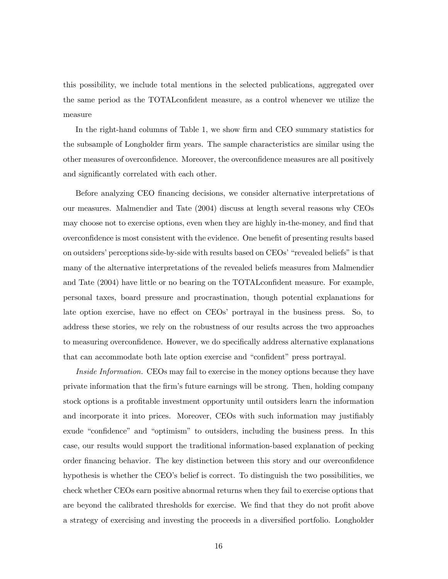this possibility, we include total mentions in the selected publications, aggregated over the same period as the TOTALconfident measure, as a control whenever we utilize the measure

In the right-hand columns of Table 1, we show firm and CEO summary statistics for the subsample of Longholder firm years. The sample characteristics are similar using the other measures of overconfidence. Moreover, the overconfidence measures are all positively and significantly correlated with each other.

Before analyzing CEO financing decisions, we consider alternative interpretations of our measures. Malmendier and Tate (2004) discuss at length several reasons why CEOs may choose not to exercise options, even when they are highly in-the-money, and find that overconfidence is most consistent with the evidence. One benefit of presenting results based on outsiders' perceptions side-by-side with results based on CEOs' "revealed beliefs" is that many of the alternative interpretations of the revealed beliefs measures from Malmendier and Tate (2004) have little or no bearing on the TOTALconfident measure. For example, personal taxes, board pressure and procrastination, though potential explanations for late option exercise, have no effect on CEOs' portrayal in the business press. So, to address these stories, we rely on the robustness of our results across the two approaches to measuring overconfidence. However, we do specifically address alternative explanations that can accommodate both late option exercise and "confident" press portrayal.

Inside Information. CEOs may fail to exercise in the money options because they have private information that the firm's future earnings will be strong. Then, holding company stock options is a profitable investment opportunity until outsiders learn the information and incorporate it into prices. Moreover, CEOs with such information may justifiably exude "confidence" and "optimism" to outsiders, including the business press. In this case, our results would support the traditional information-based explanation of pecking order financing behavior. The key distinction between this story and our overconfidence hypothesis is whether the CEO's belief is correct. To distinguish the two possibilities, we check whether CEOs earn positive abnormal returns when they fail to exercise options that are beyond the calibrated thresholds for exercise. We find that they do not profit above a strategy of exercising and investing the proceeds in a diversified portfolio. Longholder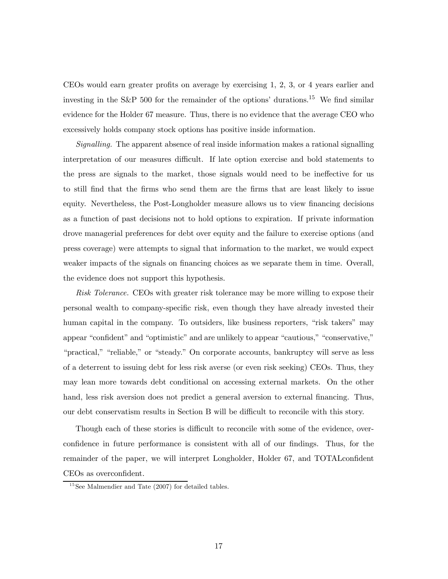CEOs would earn greater profits on average by exercising 1, 2, 3, or 4 years earlier and investing in the S&P 500 for the remainder of the options' durations.<sup>15</sup> We find similar evidence for the Holder 67 measure. Thus, there is no evidence that the average CEO who excessively holds company stock options has positive inside information.

Signalling. The apparent absence of real inside information makes a rational signalling interpretation of our measures difficult. If late option exercise and bold statements to the press are signals to the market, those signals would need to be ineffective for us to still find that the firms who send them are the firms that are least likely to issue equity. Nevertheless, the Post-Longholder measure allows us to view financing decisions as a function of past decisions not to hold options to expiration. If private information drove managerial preferences for debt over equity and the failure to exercise options (and press coverage) were attempts to signal that information to the market, we would expect weaker impacts of the signals on financing choices as we separate them in time. Overall, the evidence does not support this hypothesis.

Risk Tolerance. CEOs with greater risk tolerance may be more willing to expose their personal wealth to company-specific risk, even though they have already invested their human capital in the company. To outsiders, like business reporters, "risk takers" may appear "confident" and "optimistic" and are unlikely to appear "cautious," "conservative," "practical," "reliable," or "steady." On corporate accounts, bankruptcy will serve as less of a deterrent to issuing debt for less risk averse (or even risk seeking) CEOs. Thus, they may lean more towards debt conditional on accessing external markets. On the other hand, less risk aversion does not predict a general aversion to external financing. Thus, our debt conservatism results in Section B will be difficult to reconcile with this story.

Though each of these stories is difficult to reconcile with some of the evidence, overconfidence in future performance is consistent with all of our findings. Thus, for the remainder of the paper, we will interpret Longholder, Holder 67, and TOTALconfident CEOs as overconfident.

 $15$ See Malmendier and Tate (2007) for detailed tables.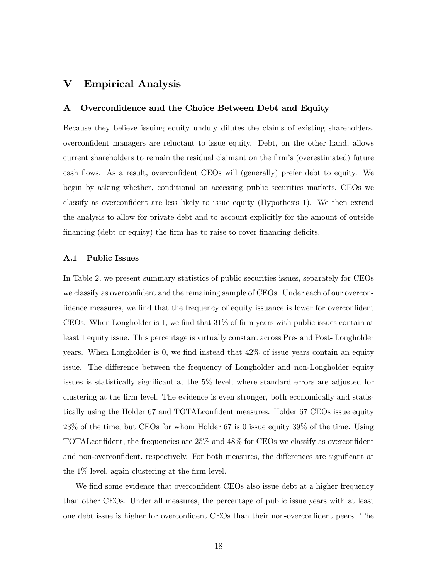# V Empirical Analysis

### A Overconfidence and the Choice Between Debt and Equity

Because they believe issuing equity unduly dilutes the claims of existing shareholders, overconfident managers are reluctant to issue equity. Debt, on the other hand, allows current shareholders to remain the residual claimant on the firm's (overestimated) future cash flows. As a result, overconfident CEOs will (generally) prefer debt to equity. We begin by asking whether, conditional on accessing public securities markets, CEOs we classify as overconfident are less likely to issue equity (Hypothesis 1). We then extend the analysis to allow for private debt and to account explicitly for the amount of outside financing (debt or equity) the firm has to raise to cover financing deficits.

#### A.1 Public Issues

In Table 2, we present summary statistics of public securities issues, separately for CEOs we classify as overconfident and the remaining sample of CEOs. Under each of our overconfidence measures, we find that the frequency of equity issuance is lower for overconfident CEOs. When Longholder is 1, we find that 31% of firm years with public issues contain at least 1 equity issue. This percentage is virtually constant across Pre- and Post- Longholder years. When Longholder is 0, we find instead that 42% of issue years contain an equity issue. The difference between the frequency of Longholder and non-Longholder equity issues is statistically significant at the 5% level, where standard errors are adjusted for clustering at the firm level. The evidence is even stronger, both economically and statistically using the Holder 67 and TOTALconfident measures. Holder 67 CEOs issue equity 23% of the time, but CEOs for whom Holder 67 is 0 issue equity 39% of the time. Using TOTALconfident, the frequencies are 25% and 48% for CEOs we classify as overconfident and non-overconfident, respectively. For both measures, the differences are significant at the 1% level, again clustering at the firm level.

We find some evidence that overconfident CEOs also issue debt at a higher frequency than other CEOs. Under all measures, the percentage of public issue years with at least one debt issue is higher for overconfident CEOs than their non-overconfident peers. The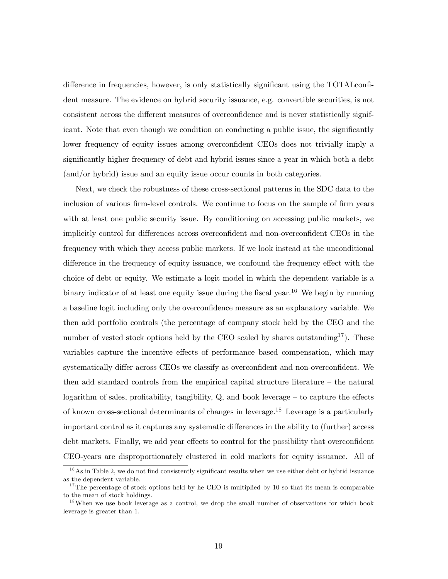difference in frequencies, however, is only statistically significant using the TOTALconfident measure. The evidence on hybrid security issuance, e.g. convertible securities, is not consistent across the different measures of overconfidence and is never statistically significant. Note that even though we condition on conducting a public issue, the significantly lower frequency of equity issues among overconfident CEOs does not trivially imply a significantly higher frequency of debt and hybrid issues since a year in which both a debt (and/or hybrid) issue and an equity issue occur counts in both categories.

Next, we check the robustness of these cross-sectional patterns in the SDC data to the inclusion of various firm-level controls. We continue to focus on the sample of firm years with at least one public security issue. By conditioning on accessing public markets, we implicitly control for differences across overconfident and non-overconfident CEOs in the frequency with which they access public markets. If we look instead at the unconditional difference in the frequency of equity issuance, we confound the frequency effect with the choice of debt or equity. We estimate a logit model in which the dependent variable is a binary indicator of at least one equity issue during the fiscal year.<sup>16</sup> We begin by running a baseline logit including only the overconfidence measure as an explanatory variable. We then add portfolio controls (the percentage of company stock held by the CEO and the number of vested stock options held by the CEO scaled by shares outstanding<sup>17</sup>). These variables capture the incentive effects of performance based compensation, which may systematically differ across CEOs we classify as overconfident and non-overconfident. We then add standard controls from the empirical capital structure literature — the natural logarithm of sales, profitability, tangibility, Q, and book leverage — to capture the effects of known cross-sectional determinants of changes in leverage.18 Leverage is a particularly important control as it captures any systematic differences in the ability to (further) access debt markets. Finally, we add year effects to control for the possibility that overconfident CEO-years are disproportionately clustered in cold markets for equity issuance. All of

 $16$ As in Table 2, we do not find consistently significant results when we use either debt or hybrid issuance as the dependent variable.

<sup>&</sup>lt;sup>17</sup>The percentage of stock options held by he CEO is multiplied by 10 so that its mean is comparable to the mean of stock holdings.

<sup>&</sup>lt;sup>18</sup>When we use book leverage as a control, we drop the small number of observations for which book leverage is greater than 1.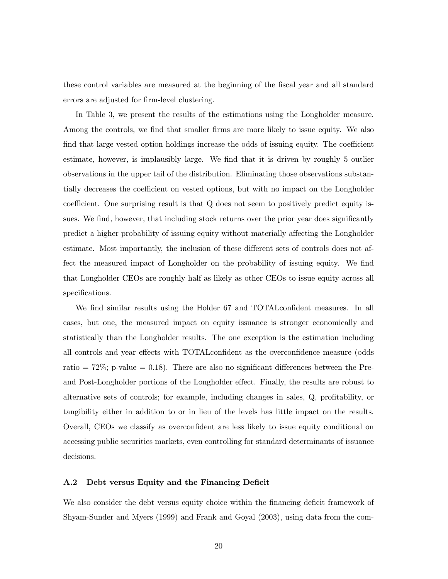these control variables are measured at the beginning of the fiscal year and all standard errors are adjusted for firm-level clustering.

In Table 3, we present the results of the estimations using the Longholder measure. Among the controls, we find that smaller firms are more likely to issue equity. We also find that large vested option holdings increase the odds of issuing equity. The coefficient estimate, however, is implausibly large. We find that it is driven by roughly 5 outlier observations in the upper tail of the distribution. Eliminating those observations substantially decreases the coefficient on vested options, but with no impact on the Longholder coefficient. One surprising result is that Q does not seem to positively predict equity issues. We find, however, that including stock returns over the prior year does significantly predict a higher probability of issuing equity without materially affecting the Longholder estimate. Most importantly, the inclusion of these different sets of controls does not affect the measured impact of Longholder on the probability of issuing equity. We find that Longholder CEOs are roughly half as likely as other CEOs to issue equity across all specifications.

We find similar results using the Holder 67 and TOTALconfident measures. In all cases, but one, the measured impact on equity issuance is stronger economically and statistically than the Longholder results. The one exception is the estimation including all controls and year effects with TOTALconfident as the overconfidence measure (odds ratio  $= 72\%$ ; p-value  $= 0.18$ ). There are also no significant differences between the Preand Post-Longholder portions of the Longholder effect. Finally, the results are robust to alternative sets of controls; for example, including changes in sales, Q, profitability, or tangibility either in addition to or in lieu of the levels has little impact on the results. Overall, CEOs we classify as overconfident are less likely to issue equity conditional on accessing public securities markets, even controlling for standard determinants of issuance decisions.

### A.2 Debt versus Equity and the Financing Deficit

We also consider the debt versus equity choice within the financing deficit framework of Shyam-Sunder and Myers (1999) and Frank and Goyal (2003), using data from the com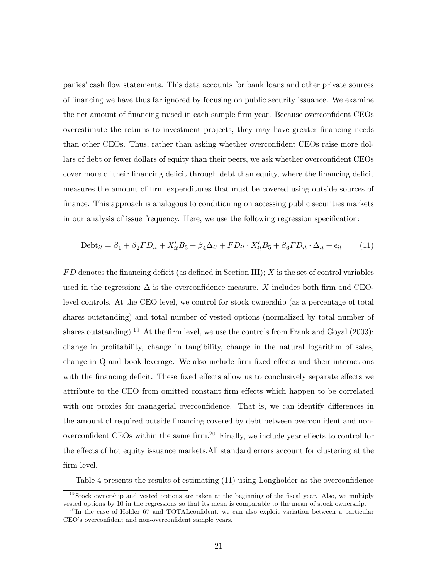panies' cash flow statements. This data accounts for bank loans and other private sources of financing we have thus far ignored by focusing on public security issuance. We examine the net amount of financing raised in each sample firm year. Because overconfident CEOs overestimate the returns to investment projects, they may have greater financing needs than other CEOs. Thus, rather than asking whether overconfident CEOs raise more dollars of debt or fewer dollars of equity than their peers, we ask whether overconfident CEOs cover more of their financing deficit through debt than equity, where the financing deficit measures the amount of firm expenditures that must be covered using outside sources of finance. This approach is analogous to conditioning on accessing public securities markets in our analysis of issue frequency. Here, we use the following regression specification:

$$
Debt_{it} = \beta_1 + \beta_2 FD_{it} + X_{it}'B_3 + \beta_4 \Delta_{it} + FD_{it} \cdot X_{it}'B_5 + \beta_6 FD_{it} \cdot \Delta_{it} + \epsilon_{it} \tag{11}
$$

 $FD$  denotes the financing deficit (as defined in Section III);  $X$  is the set of control variables used in the regression;  $\Delta$  is the overconfidence measure. X includes both firm and CEOlevel controls. At the CEO level, we control for stock ownership (as a percentage of total shares outstanding) and total number of vested options (normalized by total number of shares outstanding).<sup>19</sup> At the firm level, we use the controls from Frank and Goyal (2003): change in profitability, change in tangibility, change in the natural logarithm of sales, change in Q and book leverage. We also include firm fixed effects and their interactions with the financing deficit. These fixed effects allow us to conclusively separate effects we attribute to the CEO from omitted constant firm effects which happen to be correlated with our proxies for managerial overconfidence. That is, we can identify differences in the amount of required outside financing covered by debt between overconfident and nonoverconfident CEOs within the same firm.20 Finally, we include year effects to control for the effects of hot equity issuance markets.All standard errors account for clustering at the firm level.

Table 4 presents the results of estimating (11) using Longholder as the overconfidence

 $19$ Stock ownership and vested options are taken at the beginning of the fiscal year. Also, we multiply vested options by 10 in the regressions so that its mean is comparable to the mean of stock ownership.

 $^{20}$ In the case of Holder 67 and TOTAL confident, we can also exploit variation between a particular CEO's overconfident and non-overconfident sample years.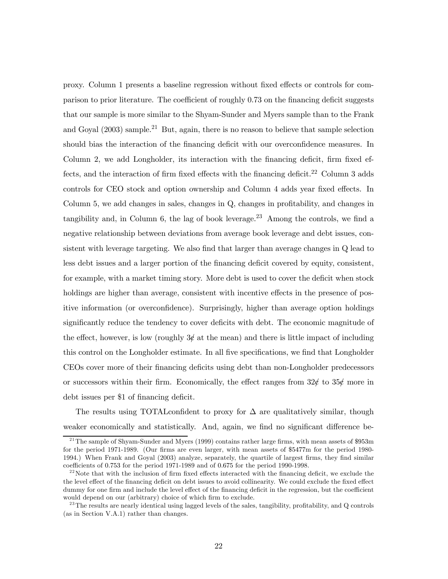proxy. Column 1 presents a baseline regression without fixed effects or controls for comparison to prior literature. The coefficient of roughly 0.73 on the financing deficit suggests that our sample is more similar to the Shyam-Sunder and Myers sample than to the Frank and Goyal (2003) sample.21 But, again, there is no reason to believe that sample selection should bias the interaction of the financing deficit with our overconfidence measures. In Column 2, we add Longholder, its interaction with the financing deficit, firm fixed effects, and the interaction of firm fixed effects with the financing deficit.<sup>22</sup> Column 3 adds controls for CEO stock and option ownership and Column 4 adds year fixed effects. In Column 5, we add changes in sales, changes in Q, changes in profitability, and changes in tangibility and, in Column 6, the lag of book leverage.<sup>23</sup> Among the controls, we find a negative relationship between deviations from average book leverage and debt issues, consistent with leverage targeting. We also find that larger than average changes in Q lead to less debt issues and a larger portion of the financing deficit covered by equity, consistent, for example, with a market timing story. More debt is used to cover the deficit when stock holdings are higher than average, consistent with incentive effects in the presence of positive information (or overconfidence). Surprisingly, higher than average option holdings significantly reduce the tendency to cover deficits with debt. The economic magnitude of the effect, however, is low (roughly  $3\ell$  at the mean) and there is little impact of including this control on the Longholder estimate. In all five specifications, we find that Longholder CEOs cover more of their financing deficits using debt than non-Longholder predecessors or successors within their firm. Economically, the effect ranges from  $32\ell$  to  $35\ell$  more in debt issues per \$1 of financing deficit.

The results using TOTAL confident to proxy for  $\Delta$  are qualitatively similar, though weaker economically and statistically. And, again, we find no significant difference be-

 $^{21}$ The sample of Shyam-Sunder and Myers (1999) contains rather large firms, with mean assets of \$953m for the period 1971-1989. (Our firms are even larger, with mean assets of \$5477m for the period 1980- 1994.) When Frank and Goyal (2003) analyze, separately, the quartile of largest firms, they find similar coefficients of 0.753 for the period 1971-1989 and of 0.675 for the period 1990-1998.

 $^{22}$  Note that with the inclusion of firm fixed effects interacted with the financing deficit, we exclude the the level effect of the financing deficit on debt issues to avoid collinearity. We could exclude the fixed effect dummy for one firm and include the level effect of the financing deficit in the regression, but the coefficient would depend on our (arbitrary) choice of which firm to exclude.

 $^{23}$ The results are nearly identical using lagged levels of the sales, tangibility, profitability, and Q controls (as in Section V.A.1) rather than changes.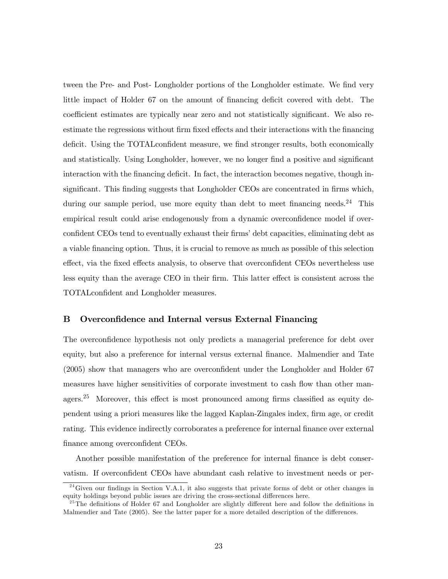tween the Pre- and Post- Longholder portions of the Longholder estimate. We find very little impact of Holder 67 on the amount of financing deficit covered with debt. The coefficient estimates are typically near zero and not statistically significant. We also reestimate the regressions without firm fixed effects and their interactions with the financing deficit. Using the TOTALconfident measure, we find stronger results, both economically and statistically. Using Longholder, however, we no longer find a positive and significant interaction with the financing deficit. In fact, the interaction becomes negative, though insignificant. This finding suggests that Longholder CEOs are concentrated in firms which, during our sample period, use more equity than debt to meet financing needs.<sup>24</sup> This empirical result could arise endogenously from a dynamic overconfidence model if overconfident CEOs tend to eventually exhaust their firms' debt capacities, eliminating debt as a viable financing option. Thus, it is crucial to remove as much as possible of this selection effect, via the fixed effects analysis, to observe that overconfident CEOs nevertheless use less equity than the average CEO in their firm. This latter effect is consistent across the TOTALconfident and Longholder measures.

### B Overconfidence and Internal versus External Financing

The overconfidence hypothesis not only predicts a managerial preference for debt over equity, but also a preference for internal versus external finance. Malmendier and Tate (2005) show that managers who are overconfident under the Longholder and Holder 67 measures have higher sensitivities of corporate investment to cash flow than other managers.<sup>25</sup> Moreover, this effect is most pronounced among firms classified as equity dependent using a priori measures like the lagged Kaplan-Zingales index, firm age, or credit rating. This evidence indirectly corroborates a preference for internal finance over external finance among overconfident CEOs.

Another possible manifestation of the preference for internal finance is debt conservatism. If overconfident CEOs have abundant cash relative to investment needs or per-

 $^{24}$ Given our findings in Section V.A.1, it also suggests that private forms of debt or other changes in equity holdings beyond public issues are driving the cross-sectional differences here.

 $^{25}$ The definitions of Holder 67 and Longholder are slightly different here and follow the definitions in Malmendier and Tate (2005). See the latter paper for a more detailed description of the differences.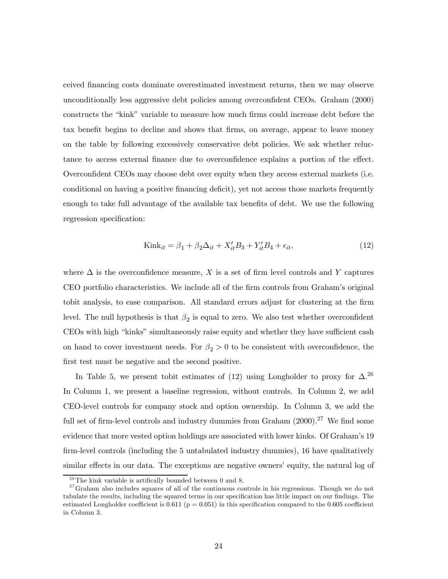ceived financing costs dominate overestimated investment returns, then we may observe unconditionally less aggressive debt policies among overconfident CEOs. Graham (2000) constructs the "kink" variable to measure how much firms could increase debt before the tax benefit begins to decline and shows that firms, on average, appear to leave money on the table by following excessively conservative debt policies. We ask whether reluctance to access external finance due to overconfidence explains a portion of the effect. Overconfident CEOs may choose debt over equity when they access external markets (i.e. conditional on having a positive financing deficit), yet not access those markets frequently enough to take full advantage of the available tax benefits of debt. We use the following regression specification:

$$
Kink_{it} = \beta_1 + \beta_2 \Delta_{it} + X_{it}'B_3 + Y_{it}'B_4 + \epsilon_{it},\tag{12}
$$

where  $\Delta$  is the overconfidence measure, X is a set of firm level controls and Y captures CEO portfolio characteristics. We include all of the firm controls from Graham's original tobit analysis, to ease comparison. All standard errors adjust for clustering at the firm level. The null hypothesis is that  $\beta_2$  is equal to zero. We also test whether overconfident CEOs with high "kinks" simultaneously raise equity and whether they have sufficient cash on hand to cover investment needs. For  $\beta_2 > 0$  to be consistent with overconfidence, the first test must be negative and the second positive.

In Table 5, we present tobit estimates of (12) using Longholder to proxy for  $\Delta$ .<sup>26</sup> In Column 1, we present a baseline regression, without controls. In Column 2, we add CEO-level controls for company stock and option ownership. In Column 3, we add the full set of firm-level controls and industry dummies from Graham  $(2000).^{27}$  We find some evidence that more vested option holdings are associated with lower kinks. Of Graham's 19 firm-level controls (including the 5 untabulated industry dummies), 16 have qualitatively similar effects in our data. The exceptions are negative owners' equity, the natural log of

 $26$ The kink variable is artifically bounded between 0 and 8.

 $27$  Graham also includes squares of all of the continuous controls in his regressions. Though we do not tabulate the results, including the squared terms in our specification has little impact on our findings. The estimated Longholder coefficient is  $0.611$  ( $p = 0.051$ ) in this specification compared to the  $0.605$  coefficient in Column 3.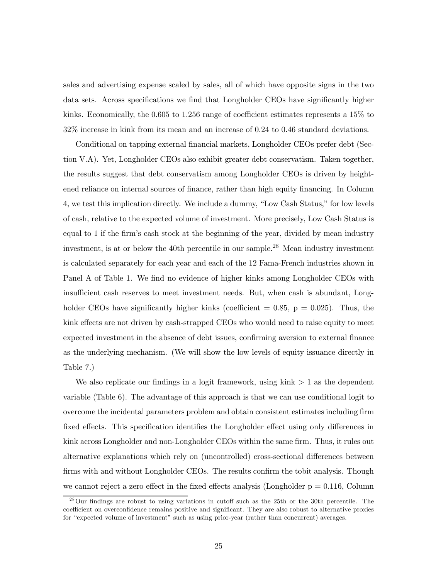sales and advertising expense scaled by sales, all of which have opposite signs in the two data sets. Across specifications we find that Longholder CEOs have significantly higher kinks. Economically, the 0.605 to 1.256 range of coefficient estimates represents a 15% to 32% increase in kink from its mean and an increase of 0.24 to 0.46 standard deviations.

Conditional on tapping external financial markets, Longholder CEOs prefer debt (Section V.A). Yet, Longholder CEOs also exhibit greater debt conservatism. Taken together, the results suggest that debt conservatism among Longholder CEOs is driven by heightened reliance on internal sources of finance, rather than high equity financing. In Column 4, we test this implication directly. We include a dummy, "Low Cash Status," for low levels of cash, relative to the expected volume of investment. More precisely, Low Cash Status is equal to 1 if the firm's cash stock at the beginning of the year, divided by mean industry investment, is at or below the 40th percentile in our sample.<sup>28</sup> Mean industry investment is calculated separately for each year and each of the 12 Fama-French industries shown in Panel A of Table 1. We find no evidence of higher kinks among Longholder CEOs with insufficient cash reserves to meet investment needs. But, when cash is abundant, Longholder CEOs have significantly higher kinks (coefficient  $= 0.85, p = 0.025$ ). Thus, the kink effects are not driven by cash-strapped CEOs who would need to raise equity to meet expected investment in the absence of debt issues, confirming aversion to external finance as the underlying mechanism. (We will show the low levels of equity issuance directly in Table 7.)

We also replicate our findings in a logit framework, using  $\text{kink} > 1$  as the dependent variable (Table 6). The advantage of this approach is that we can use conditional logit to overcome the incidental parameters problem and obtain consistent estimates including firm fixed effects. This specification identifies the Longholder effect using only differences in kink across Longholder and non-Longholder CEOs within the same firm. Thus, it rules out alternative explanations which rely on (uncontrolled) cross-sectional differences between firms with and without Longholder CEOs. The results confirm the tobit analysis. Though we cannot reject a zero effect in the fixed effects analysis (Longholder  $p = 0.116$ , Column

 $^{28}$ Our findings are robust to using variations in cutoff such as the 25th or the 30th percentile. The coefficient on overconfidence remains positive and significant. They are also robust to alternative proxies for "expected volume of investment" such as using prior-year (rather than concurrent) averages.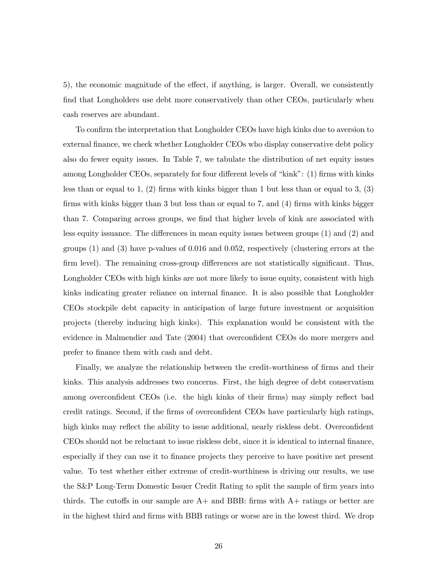5), the economic magnitude of the effect, if anything, is larger. Overall, we consistently find that Longholders use debt more conservatively than other CEOs, particularly when cash reserves are abundant.

To confirm the interpretation that Longholder CEOs have high kinks due to aversion to external finance, we check whether Longholder CEOs who display conservative debt policy also do fewer equity issues. In Table 7, we tabulate the distribution of net equity issues among Longholder CEOs, separately for four different levels of "kink": (1) firms with kinks less than or equal to 1, (2) firms with kinks bigger than 1 but less than or equal to 3, (3) firms with kinks bigger than 3 but less than or equal to 7, and (4) firms with kinks bigger than 7. Comparing across groups, we find that higher levels of kink are associated with less equity issuance. The differences in mean equity issues between groups (1) and (2) and groups (1) and (3) have p-values of 0.016 and 0.052, respectively (clustering errors at the firm level). The remaining cross-group differences are not statistically significant. Thus, Longholder CEOs with high kinks are not more likely to issue equity, consistent with high kinks indicating greater reliance on internal finance. It is also possible that Longholder CEOs stockpile debt capacity in anticipation of large future investment or acquisition projects (thereby inducing high kinks). This explanation would be consistent with the evidence in Malmendier and Tate (2004) that overconfident CEOs do more mergers and prefer to finance them with cash and debt.

Finally, we analyze the relationship between the credit-worthiness of firms and their kinks. This analysis addresses two concerns. First, the high degree of debt conservatism among overconfident CEOs (i.e. the high kinks of their firms) may simply reflect bad credit ratings. Second, if the firms of overconfident CEOs have particularly high ratings, high kinks may reflect the ability to issue additional, nearly riskless debt. Overconfident CEOs should not be reluctant to issue riskless debt, since it is identical to internal finance, especially if they can use it to finance projects they perceive to have positive net present value. To test whether either extreme of credit-worthiness is driving our results, we use the S&P Long-Term Domestic Issuer Credit Rating to split the sample of firm years into thirds. The cutoffs in our sample are  $A+$  and BBB: firms with  $A+$  ratings or better are in the highest third and firms with BBB ratings or worse are in the lowest third. We drop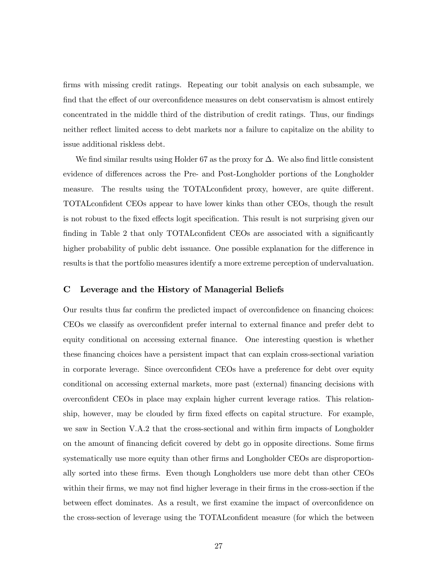firms with missing credit ratings. Repeating our tobit analysis on each subsample, we find that the effect of our overconfidence measures on debt conservatism is almost entirely concentrated in the middle third of the distribution of credit ratings. Thus, our findings neither reflect limited access to debt markets nor a failure to capitalize on the ability to issue additional riskless debt.

We find similar results using Holder 67 as the proxy for  $\Delta$ . We also find little consistent evidence of differences across the Pre- and Post-Longholder portions of the Longholder measure. The results using the TOTALconfident proxy, however, are quite different. TOTALconfident CEOs appear to have lower kinks than other CEOs, though the result is not robust to the fixed effects logit specification. This result is not surprising given our finding in Table 2 that only TOTALconfident CEOs are associated with a significantly higher probability of public debt issuance. One possible explanation for the difference in results is that the portfolio measures identify a more extreme perception of undervaluation.

#### C Leverage and the History of Managerial Beliefs

Our results thus far confirm the predicted impact of overconfidence on financing choices: CEOs we classify as overconfident prefer internal to external finance and prefer debt to equity conditional on accessing external finance. One interesting question is whether these financing choices have a persistent impact that can explain cross-sectional variation in corporate leverage. Since overconfident CEOs have a preference for debt over equity conditional on accessing external markets, more past (external) financing decisions with overconfident CEOs in place may explain higher current leverage ratios. This relationship, however, may be clouded by firm fixed effects on capital structure. For example, we saw in Section V.A.2 that the cross-sectional and within firm impacts of Longholder on the amount of financing deficit covered by debt go in opposite directions. Some firms systematically use more equity than other firms and Longholder CEOs are disproportionally sorted into these firms. Even though Longholders use more debt than other CEOs within their firms, we may not find higher leverage in their firms in the cross-section if the between effect dominates. As a result, we first examine the impact of overconfidence on the cross-section of leverage using the TOTALconfident measure (for which the between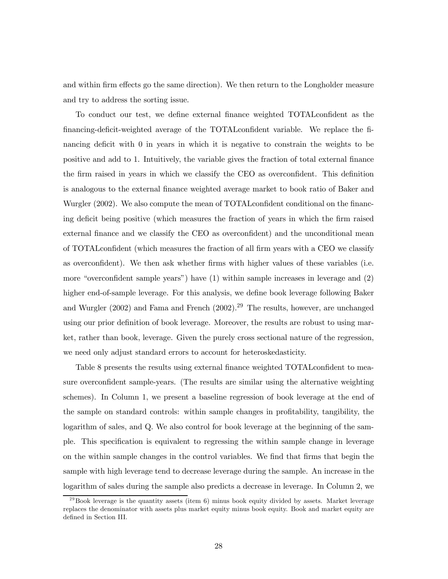and within firm effects go the same direction). We then return to the Longholder measure and try to address the sorting issue.

To conduct our test, we define external finance weighted TOTALconfident as the financing-deficit-weighted average of the TOTALconfident variable. We replace the financing deficit with 0 in years in which it is negative to constrain the weights to be positive and add to 1. Intuitively, the variable gives the fraction of total external finance the firm raised in years in which we classify the CEO as overconfident. This definition is analogous to the external finance weighted average market to book ratio of Baker and Wurgler (2002). We also compute the mean of TOTALconfident conditional on the financing deficit being positive (which measures the fraction of years in which the firm raised external finance and we classify the CEO as overconfident) and the unconditional mean of TOTALconfident (which measures the fraction of all firm years with a CEO we classify as overconfident). We then ask whether firms with higher values of these variables (i.e. more "overconfident sample years") have (1) within sample increases in leverage and (2) higher end-of-sample leverage. For this analysis, we define book leverage following Baker and Wurgler (2002) and Fama and French (2002).29 The results, however, are unchanged using our prior definition of book leverage. Moreover, the results are robust to using market, rather than book, leverage. Given the purely cross sectional nature of the regression, we need only adjust standard errors to account for heteroskedasticity.

Table 8 presents the results using external finance weighted TOTALconfident to measure overconfident sample-years. (The results are similar using the alternative weighting schemes). In Column 1, we present a baseline regression of book leverage at the end of the sample on standard controls: within sample changes in profitability, tangibility, the logarithm of sales, and Q. We also control for book leverage at the beginning of the sample. This specification is equivalent to regressing the within sample change in leverage on the within sample changes in the control variables. We find that firms that begin the sample with high leverage tend to decrease leverage during the sample. An increase in the logarithm of sales during the sample also predicts a decrease in leverage. In Column 2, we

 $^{29}$ Book leverage is the quantity assets (item 6) minus book equity divided by assets. Market leverage replaces the denominator with assets plus market equity minus book equity. Book and market equity are defined in Section III.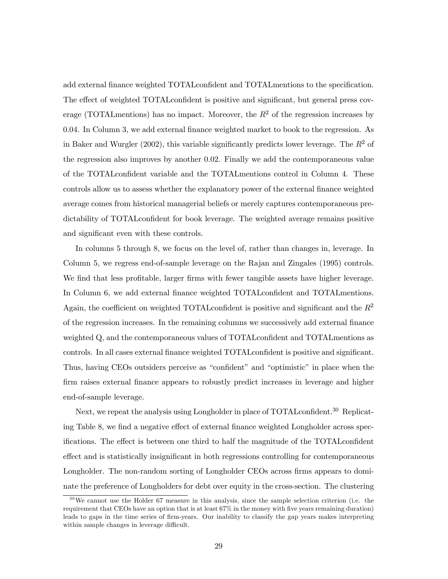add external finance weighted TOTALconfident and TOTALmentions to the specification. The effect of weighted TOTALconfident is positive and significant, but general press coverage (TOTALmentions) has no impact. Moreover, the  $R^2$  of the regression increases by 0.04. In Column 3, we add external finance weighted market to book to the regression. As in Baker and Wurgler (2002), this variable significantly predicts lower leverage. The  $R^2$  of the regression also improves by another 0.02. Finally we add the contemporaneous value of the TOTALconfident variable and the TOTALmentions control in Column 4. These controls allow us to assess whether the explanatory power of the external finance weighted average comes from historical managerial beliefs or merely captures contemporaneous predictability of TOTALconfident for book leverage. The weighted average remains positive and significant even with these controls.

In columns 5 through 8, we focus on the level of, rather than changes in, leverage. In Column 5, we regress end-of-sample leverage on the Rajan and Zingales (1995) controls. We find that less profitable, larger firms with fewer tangible assets have higher leverage. In Column 6, we add external finance weighted TOTALconfident and TOTALmentions. Again, the coefficient on weighted TOTAL confident is positive and significant and the  $R^2$ of the regression increases. In the remaining columns we successively add external finance weighted Q, and the contemporaneous values of TOTALconfident and TOTALmentions as controls. In all cases external finance weighted TOTALconfident is positive and significant. Thus, having CEOs outsiders perceive as "confident" and "optimistic" in place when the firm raises external finance appears to robustly predict increases in leverage and higher end-of-sample leverage.

Next, we repeat the analysis using Longholder in place of TOTAL confident.<sup>30</sup> Replicating Table 8, we find a negative effect of external finance weighted Longholder across specifications. The effect is between one third to half the magnitude of the TOTALconfident effect and is statistically insignificant in both regressions controlling for contemporaneous Longholder. The non-random sorting of Longholder CEOs across firms appears to dominate the preference of Longholders for debt over equity in the cross-section. The clustering

 $30\,\text{We cannot use the Holder 67 measure in this analysis, since the sample selection criterion (i.e. the$ requirement that CEOs have an option that is at least 67% in the money with five years remaining duration) leads to gaps in the time series of firm-years. Our inability to classify the gap years makes interpreting within sample changes in leverage difficult.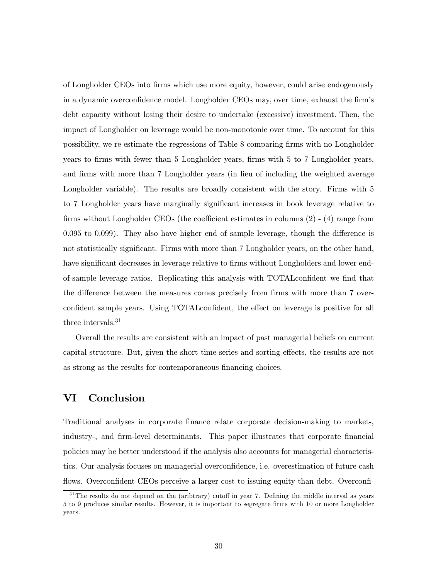of Longholder CEOs into firms which use more equity, however, could arise endogenously in a dynamic overconfidence model. Longholder CEOs may, over time, exhaust the firm's debt capacity without losing their desire to undertake (excessive) investment. Then, the impact of Longholder on leverage would be non-monotonic over time. To account for this possibility, we re-estimate the regressions of Table 8 comparing firms with no Longholder years to firms with fewer than 5 Longholder years, firms with 5 to 7 Longholder years, and firms with more than 7 Longholder years (in lieu of including the weighted average Longholder variable). The results are broadly consistent with the story. Firms with  $5$ to 7 Longholder years have marginally significant increases in book leverage relative to firms without Longholder CEOs (the coefficient estimates in columns (2) - (4) range from 0.095 to 0.099). They also have higher end of sample leverage, though the difference is not statistically significant. Firms with more than 7 Longholder years, on the other hand, have significant decreases in leverage relative to firms without Longholders and lower endof-sample leverage ratios. Replicating this analysis with TOTALconfident we find that the difference between the measures comes precisely from firms with more than 7 overconfident sample years. Using TOTALconfident, the effect on leverage is positive for all three intervals.<sup>31</sup>

Overall the results are consistent with an impact of past managerial beliefs on current capital structure. But, given the short time series and sorting effects, the results are not as strong as the results for contemporaneous financing choices.

# VI Conclusion

Traditional analyses in corporate finance relate corporate decision-making to market-, industry-, and firm-level determinants. This paper illustrates that corporate financial policies may be better understood if the analysis also accounts for managerial characteristics. Our analysis focuses on managerial overconfidence, i.e. overestimation of future cash flows. Overconfident CEOs perceive a larger cost to issuing equity than debt. Overconfi-

<sup>&</sup>lt;sup>31</sup>The results do not depend on the (aribtrary) cutoff in year 7. Defining the middle interval as years 5 to 9 produces similar results. However, it is important to segregate firms with 10 or more Longholder years.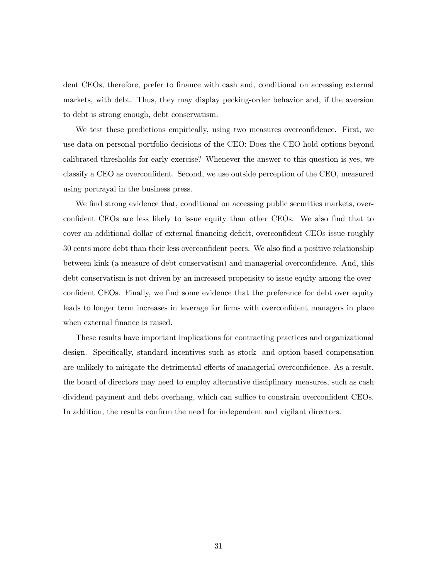dent CEOs, therefore, prefer to finance with cash and, conditional on accessing external markets, with debt. Thus, they may display pecking-order behavior and, if the aversion to debt is strong enough, debt conservatism.

We test these predictions empirically, using two measures overconfidence. First, we use data on personal portfolio decisions of the CEO: Does the CEO hold options beyond calibrated thresholds for early exercise? Whenever the answer to this question is yes, we classify a CEO as overconfident. Second, we use outside perception of the CEO, measured using portrayal in the business press.

We find strong evidence that, conditional on accessing public securities markets, overconfident CEOs are less likely to issue equity than other CEOs. We also find that to cover an additional dollar of external financing deficit, overconfident CEOs issue roughly 30 cents more debt than their less overconfident peers. We also find a positive relationship between kink (a measure of debt conservatism) and managerial overconfidence. And, this debt conservatism is not driven by an increased propensity to issue equity among the overconfident CEOs. Finally, we find some evidence that the preference for debt over equity leads to longer term increases in leverage for firms with overconfident managers in place when external finance is raised.

These results have important implications for contracting practices and organizational design. Specifically, standard incentives such as stock- and option-based compensation are unlikely to mitigate the detrimental effects of managerial overconfidence. As a result, the board of directors may need to employ alternative disciplinary measures, such as cash dividend payment and debt overhang, which can suffice to constrain overconfident CEOs. In addition, the results confirm the need for independent and vigilant directors.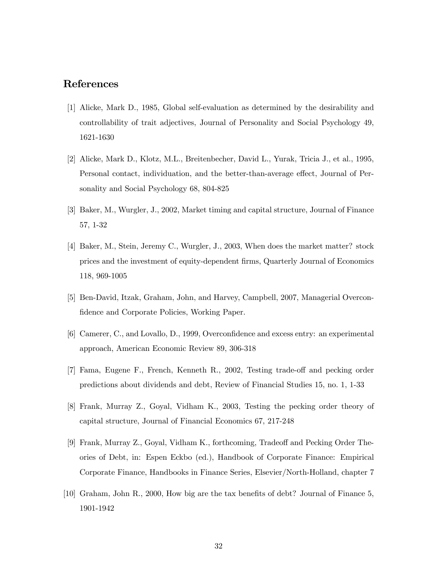# References

- [1] Alicke, Mark D., 1985, Global self-evaluation as determined by the desirability and controllability of trait adjectives, Journal of Personality and Social Psychology 49, 1621-1630
- [2] Alicke, Mark D., Klotz, M.L., Breitenbecher, David L., Yurak, Tricia J., et al., 1995, Personal contact, individuation, and the better-than-average effect, Journal of Personality and Social Psychology 68, 804-825
- [3] Baker, M., Wurgler, J., 2002, Market timing and capital structure, Journal of Finance 57, 1-32
- [4] Baker, M., Stein, Jeremy C., Wurgler, J., 2003, When does the market matter? stock prices and the investment of equity-dependent firms, Quarterly Journal of Economics 118, 969-1005
- [5] Ben-David, Itzak, Graham, John, and Harvey, Campbell, 2007, Managerial Overconfidence and Corporate Policies, Working Paper.
- [6] Camerer, C., and Lovallo, D., 1999, Overconfidence and excess entry: an experimental approach, American Economic Review 89, 306-318
- [7] Fama, Eugene F., French, Kenneth R., 2002, Testing trade-off and pecking order predictions about dividends and debt, Review of Financial Studies 15, no. 1, 1-33
- [8] Frank, Murray Z., Goyal, Vidham K., 2003, Testing the pecking order theory of capital structure, Journal of Financial Economics 67, 217-248
- [9] Frank, Murray Z., Goyal, Vidham K., forthcoming, Tradeoff and Pecking Order Theories of Debt, in: Espen Eckbo (ed.), Handbook of Corporate Finance: Empirical Corporate Finance, Handbooks in Finance Series, Elsevier/North-Holland, chapter 7
- [10] Graham, John R., 2000, How big are the tax benefits of debt? Journal of Finance 5, 1901-1942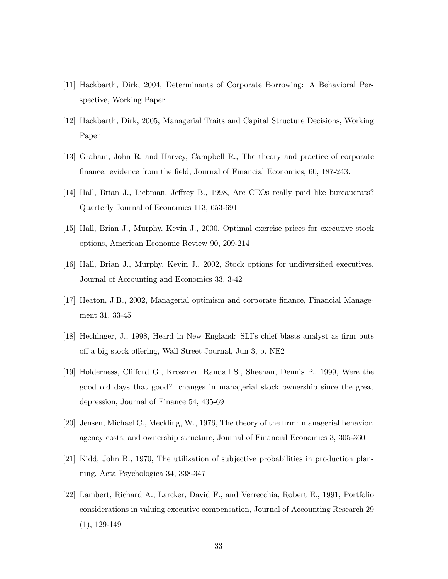- [11] Hackbarth, Dirk, 2004, Determinants of Corporate Borrowing: A Behavioral Perspective, Working Paper
- [12] Hackbarth, Dirk, 2005, Managerial Traits and Capital Structure Decisions, Working Paper
- [13] Graham, John R. and Harvey, Campbell R., The theory and practice of corporate finance: evidence from the field, Journal of Financial Economics, 60, 187-243.
- [14] Hall, Brian J., Liebman, Jeffrey B., 1998, Are CEOs really paid like bureaucrats? Quarterly Journal of Economics 113, 653-691
- [15] Hall, Brian J., Murphy, Kevin J., 2000, Optimal exercise prices for executive stock options, American Economic Review 90, 209-214
- [16] Hall, Brian J., Murphy, Kevin J., 2002, Stock options for undiversified executives, Journal of Accounting and Economics 33, 3-42
- [17] Heaton, J.B., 2002, Managerial optimism and corporate finance, Financial Management 31, 33-45
- [18] Hechinger, J., 1998, Heard in New England: SLI's chief blasts analyst as firm puts off a big stock offering, Wall Street Journal, Jun 3, p. NE2
- [19] Holderness, Clifford G., Kroszner, Randall S., Sheehan, Dennis P., 1999, Were the good old days that good? changes in managerial stock ownership since the great depression, Journal of Finance 54, 435-69
- [20] Jensen, Michael C., Meckling, W., 1976, The theory of the firm: managerial behavior, agency costs, and ownership structure, Journal of Financial Economics 3, 305-360
- [21] Kidd, John B., 1970, The utilization of subjective probabilities in production planning, Acta Psychologica 34, 338-347
- [22] Lambert, Richard A., Larcker, David F., and Verrecchia, Robert E., 1991, Portfolio considerations in valuing executive compensation, Journal of Accounting Research 29  $(1), 129-149$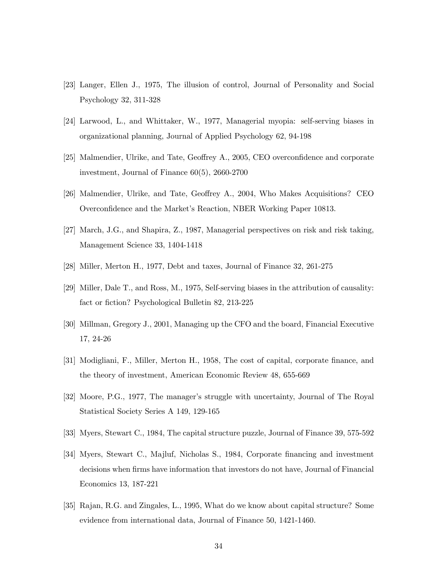- [23] Langer, Ellen J., 1975, The illusion of control, Journal of Personality and Social Psychology 32, 311-328
- [24] Larwood, L., and Whittaker, W., 1977, Managerial myopia: self-serving biases in organizational planning, Journal of Applied Psychology 62, 94-198
- [25] Malmendier, Ulrike, and Tate, Geoffrey A., 2005, CEO overconfidence and corporate investment, Journal of Finance 60(5), 2660-2700
- [26] Malmendier, Ulrike, and Tate, Geoffrey A., 2004, Who Makes Acquisitions? CEO Overconfidence and the Market's Reaction, NBER Working Paper 10813.
- [27] March, J.G., and Shapira, Z., 1987, Managerial perspectives on risk and risk taking, Management Science 33, 1404-1418
- [28] Miller, Merton H., 1977, Debt and taxes, Journal of Finance 32, 261-275
- [29] Miller, Dale T., and Ross, M., 1975, Self-serving biases in the attribution of causality: fact or fiction? Psychological Bulletin 82, 213-225
- [30] Millman, Gregory J., 2001, Managing up the CFO and the board, Financial Executive 17, 24-26
- [31] Modigliani, F., Miller, Merton H., 1958, The cost of capital, corporate finance, and the theory of investment, American Economic Review 48, 655-669
- [32] Moore, P.G., 1977, The manager's struggle with uncertainty, Journal of The Royal Statistical Society Series A 149, 129-165
- [33] Myers, Stewart C., 1984, The capital structure puzzle, Journal of Finance 39, 575-592
- [34] Myers, Stewart C., Majluf, Nicholas S., 1984, Corporate financing and investment decisions when firms have information that investors do not have, Journal of Financial Economics 13, 187-221
- [35] Rajan, R.G. and Zingales, L., 1995, What do we know about capital structure? Some evidence from international data, Journal of Finance 50, 1421-1460.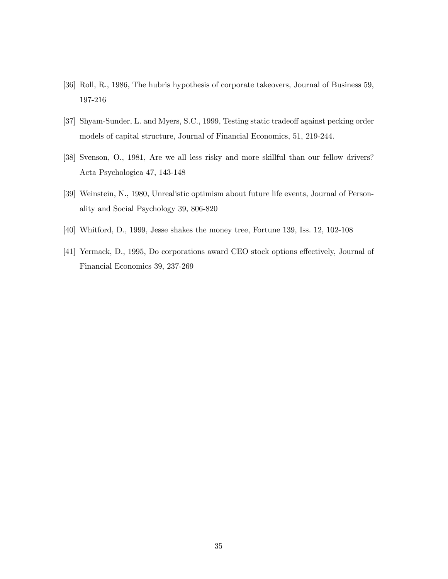- [36] Roll, R., 1986, The hubris hypothesis of corporate takeovers, Journal of Business 59, 197-216
- [37] Shyam-Sunder, L. and Myers, S.C., 1999, Testing static tradeoff against pecking order models of capital structure, Journal of Financial Economics, 51, 219-244.
- [38] Svenson, O., 1981, Are we all less risky and more skillful than our fellow drivers? Acta Psychologica 47, 143-148
- [39] Weinstein, N., 1980, Unrealistic optimism about future life events, Journal of Personality and Social Psychology 39, 806-820
- [40] Whitford, D., 1999, Jesse shakes the money tree, Fortune 139, Iss. 12, 102-108
- [41] Yermack, D., 1995, Do corporations award CEO stock options effectively, Journal of Financial Economics 39, 237-269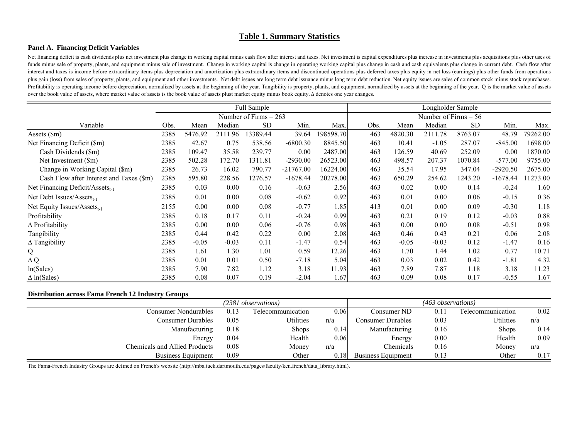### **Table 1. Summary Statistics**

### **Panel A. Financing Deficit Variables**

Net financing deficit is cash dividends plus net investment plus change in working capital minus cash flow after interest and taxes. Net investment is capital expenditures plus increase in investments plus acquisitions plu funds minus sale of property, plants, and equipment minus sale of investment. Change in working capital is change in operating working capital plus change in cash and cash equivalents plus change in current debt. Cash flow interest and taxes is income before extraordinary items plus depreciation and amortization plus extraordinary items and discontinued operations plus deferred taxes plus equity in net loss (earnings) plus other funds from o plus gain (loss) from sales of property, plants, and equipment and other investments. Net debt issues are long term debt issuance minus long term debt reduction. Net equity issues are sales of common stock minus stock repu Profitability is operating income before depreciation, normalized by assets at the beginning of the year. Tangibility is property, plants, and equipment, normalized by assets at the beginning of the year. Q is the market v over the book value of assets, where market value of assets is the book value of assets plust market equity minus book equity. ∆ denotes one year changes.

|                                             | Full Sample |         |         |                         |             |           | Longholder Sample |         |                        |           |            |          |
|---------------------------------------------|-------------|---------|---------|-------------------------|-------------|-----------|-------------------|---------|------------------------|-----------|------------|----------|
|                                             |             |         |         | Number of Firms $= 263$ |             |           |                   |         | Number of Firms $= 56$ |           |            |          |
| Variable                                    | Obs.        | Mean    | Median  | <b>SD</b>               | Min.        | Max.      | Obs.              | Mean    | Median                 | <b>SD</b> | Min.       | Max.     |
| Assets (\$m)                                | 2385        | 5476.92 | 2111.96 | 13389.44                | 39.64       | 198598.70 | 463               | 4820.30 | 2111.78                | 8763.07   | 48.79      | 79262.00 |
| Net Financing Deficit (\$m)                 | 2385        | 42.67   | 0.75    | 538.56                  | $-6800.30$  | 8845.50   | 463               | 10.41   | $-1.05$                | 287.07    | $-845.00$  | 1698.00  |
| Cash Dividends (\$m)                        | 2385        | 109.47  | 35.58   | 239.77                  | 0.00        | 2487.00   | 463               | 126.59  | 40.69                  | 252.09    | 0.00       | 1870.00  |
| Net Investment (\$m)                        | 2385        | 502.28  | 172.70  | 1311.81                 | $-2930.00$  | 26523.00  | 463               | 498.57  | 207.37                 | 1070.84   | $-577.00$  | 9755.00  |
| Change in Working Capital (\$m)             | 2385        | 26.73   | 16.02   | 790.77                  | $-21767.00$ | 16224.00  | 463               | 35.54   | 17.95                  | 347.04    | $-2920.50$ | 2675.00  |
| Cash Flow after Interest and Taxes (\$m)    | 2385        | 595.80  | 228.56  | 1276.57                 | $-1678.44$  | 20278.00  | 463               | 650.29  | 254.62                 | 1243.20   | $-1678.44$ | 11273.00 |
| Net Financing Deficit/Assets <sub>t-1</sub> | 2385        | 0.03    | 0.00    | 0.16                    | $-0.63$     | 2.56      | 463               | 0.02    | 0.00                   | 0.14      | $-0.24$    | 1.60     |
| Net Debt Issues/Assets $_{t-1}$             | 2385        | 0.01    | 0.00    | 0.08                    | $-0.62$     | 0.92      | 463               | 0.01    | 0.00                   | 0.06      | $-0.15$    | 0.36     |
| Net Equity Issues/Assets <sub>t-1</sub>     | 2155        | 0.00    | 0.00    | 0.08                    | $-0.77$     | 1.85      | 413               | 0.01    | 0.00                   | 0.09      | $-0.30$    | 1.18     |
| Profitability                               | 2385        | 0.18    | 0.17    | 0.11                    | $-0.24$     | 0.99      | 463               | 0.21    | 0.19                   | 0.12      | $-0.03$    | 0.88     |
| $\Delta$ Profitability                      | 2385        | 0.00    | 0.00    | 0.06                    | $-0.76$     | 0.98      | 463               | 0.00    | 0.00                   | 0.08      | $-0.51$    | 0.98     |
| Tangibility                                 | 2385        | 0.44    | 0.42    | 0.22                    | 0.00        | 2.08      | 463               | 0.46    | 0.43                   | 0.21      | 0.06       | 2.08     |
| $\Delta$ Tangibility                        | 2385        | $-0.05$ | $-0.03$ | 0.11                    | $-1.47$     | 0.54      | 463               | $-0.05$ | $-0.03$                | 0.12      | $-1.47$    | 0.16     |
| Q                                           | 2385        | 1.61    | 1.30    | 1.01                    | 0.59        | 12.26     | 463               | 1.70    | 1.44                   | 1.02      | 0.77       | 10.71    |
| $\Delta Q$                                  | 2385        | 0.01    | 0.01    | 0.50                    | $-7.18$     | 5.04      | 463               | 0.03    | 0.02                   | 0.42      | $-1.81$    | 4.32     |
| ln(Sales)                                   | 2385        | 7.90    | 7.82    | 1.12                    | 3.18        | 11.93     | 463               | 7.89    | 7.87                   | 1.18      | 3.18       | 11.23    |
| $\Delta$ ln(Sales)                          | 2385        | 0.08    | 0.07    | 0.19                    | $-2.04$     | 1.67      | 463               | 0.09    | 0.08                   | 0.17      | $-0.55$    | 1.67     |

#### **Distribution across Fama French 12 Industry Groups**

|                               | $(2381$ observations) |                   |      |                           |      |                   | $(463$ observations) |  |  |  |  |  |
|-------------------------------|-----------------------|-------------------|------|---------------------------|------|-------------------|----------------------|--|--|--|--|--|
| Consumer Nondurables          | 0.13                  | Telecommunication | 0.06 | Consumer ND               | 0.1  | Telecommunication | 0.02                 |  |  |  |  |  |
| Consumer Durables             | 0.05                  | Utilities         | n/a  | Consumer Durables         | 0.03 | <b>Utilities</b>  | n/a                  |  |  |  |  |  |
| Manufacturing                 | 0.18                  | <b>Shops</b>      | 0.14 | Manufacturing             | 0.16 | <b>Shops</b>      | 0.14                 |  |  |  |  |  |
| Energy                        | 0.04                  | Health            | 0.06 | Energy                    | 0.00 | Health            | 0.09                 |  |  |  |  |  |
| Chemicals and Allied Products | 0.08                  | Money             | n/a  | Chemicals                 | 0.16 | Money             | n/a                  |  |  |  |  |  |
| <b>Business Equipment</b>     | 0.09                  | Other             | 0.18 | <b>Business Equipment</b> | 0.13 | Other             | 0.17                 |  |  |  |  |  |

The Fama-French Industry Groups are defined on French's website (http://mba.tuck.dartmouth.edu/pages/faculty/ken.french/data\_library.html).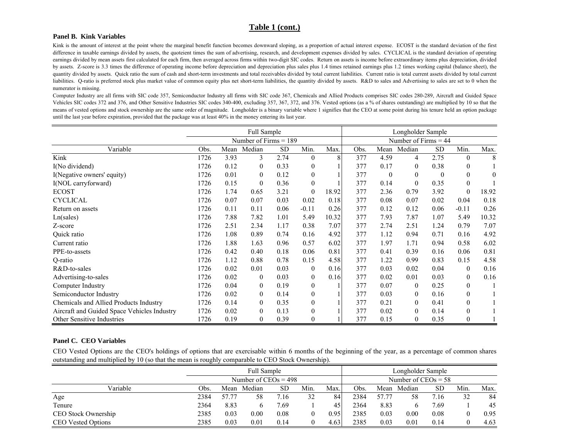### **Table 1 (cont.)**

#### **Panel B. Kink Variables**

Kink is the amount of interest at the point where the marginal benefit function becomes downward sloping, as a proportion of actual interest expense. ECOST is the standard deviation of the first difference in taxable earnings divided by assets, the quoteient times the sum of advertising, research, and development expenses divided by sales. CYCLICAL is the standard deviation of operating earnings divided by mean assets first calculated for each firm, then averaged across firms within two-digit SIC codes. Return on assets is income before extraordinary items plus depreciation, divided by assets. Z-score is 3.3 times the difference of operating income before depreciation and depreciation plus sales plus 1.4 times retained earnings plus 1.2 times working capital (balance sheet), the quantity divided by assets. Quick ratio the sum of cash and short-term investments and total receivables divided by total current liabilities. Current ratio is total current assets divided by total current liabilities. Q-ratio is preferred stock plus market value of common equity plus net short-term liabilities, the quantity divided by assets. R&D to sales and Advertising to sales are set to 0 when the numerator is missing.

Computer Industry are all firms with SIC code 357, Semiconductor Industry all firms with SIC code 367, Chemicals and Allied Products comprises SIC codes 280-289, Aircraft and Guided Space Vehicles SIC codes 372 and 376, and Other Sensitive Industries SIC codes 340-400, excluding 357, 367, 372, and 376. Vested options (as a % of shares outstanding) are multiplied by 10 so that the means of vested options and stock ownership are the same order of magnitude. Longholder is <sup>a</sup> binary variable where 1 signifies that the CEO at some point during his tenure held an option package until the last year before expiration, provided that the package was at least 40% in the money entering its last year.

|                                             | <b>Full Sample</b> |      |                         |           |                  |       | Longholder Sample |              |                        |           |                |          |
|---------------------------------------------|--------------------|------|-------------------------|-----------|------------------|-------|-------------------|--------------|------------------------|-----------|----------------|----------|
|                                             |                    |      | Number of Firms $= 189$ |           |                  |       |                   |              | Number of Firms $= 44$ |           |                |          |
| Variable                                    | Obs.               | Mean | Median                  | <b>SD</b> | Min.             | Max.  | Obs.              | Mean         | Median                 | <b>SD</b> | Min.           | Max.     |
| Kink                                        | 1726               | 3.93 | 3                       | 2.74      | $\overline{0}$   | 8     | 377               | 4.59         | 4                      | 2.75      | $\overline{0}$ | 8        |
| I(No dividend)                              | 1726               | 0.12 | $\Omega$                | 0.33      | $\overline{0}$   |       | 377               | 0.17         | $\theta$               | 0.38      | $\mathbf{0}$   |          |
| I(Negative owners' equity)                  | 1726               | 0.01 | $\mathbf{0}$            | 0.12      | $\overline{0}$   |       | 377               | $\mathbf{0}$ | 0                      | $\theta$  | $\mathbf{0}$   | $\theta$ |
| I(NOL carryforward)                         | 1726               | 0.15 | $\theta$                | 0.36      | $\overline{0}$   |       | 377               | 0.14         | $\boldsymbol{0}$       | 0.35      | $\mathbf{0}$   |          |
| <b>ECOST</b>                                | 1726               | 1.74 | 0.65                    | 3.21      | $\mathbf{0}$     | 18.92 | 377               | 2.36         | 0.79                   | 3.92      | $\mathbf{0}$   | 18.92    |
| <b>CYCLICAL</b>                             | 1726               | 0.07 | 0.07                    | 0.03      | 0.02             | 0.18  | 377               | 0.08         | 0.07                   | 0.02      | 0.04           | 0.18     |
| Return on assets                            | 1726               | 0.11 | 0.11                    | 0.06      | $-0.11$          | 0.26  | 377               | 0.12         | 0.12                   | 0.06      | $-0.11$        | 0.26     |
| Ln(sales)                                   | 1726               | 7.88 | 7.82                    | 1.01      | 5.49             | 10.32 | 377               | 7.93         | 7.87                   | 1.07      | 5.49           | 10.32    |
| Z-score                                     | 1726               | 2.51 | 2.34                    | 1.17      | 0.38             | 7.07  | 377               | 2.74         | 2.51                   | 1.24      | 0.79           | 7.07     |
| Quick ratio                                 | 1726               | 1.08 | 0.89                    | 0.74      | 0.16             | 4.92  | 377               | 1.12         | 0.94                   | 0.71      | 0.16           | 4.92     |
| Current ratio                               | 1726               | 1.88 | 1.63                    | 0.96      | 0.57             | 6.02  | 377               | 1.97         | 1.71                   | 0.94      | 0.58           | 6.02     |
| PPE-to-assets                               | 1726               | 0.42 | 0.40                    | 0.18      | 0.06             | 0.81  | 377               | 0.41         | 0.39                   | 0.16      | 0.06           | 0.81     |
| O-ratio                                     | 1726               | 1.12 | 0.88                    | 0.78      | 0.15             | 4.58  | 377               | 1.22         | 0.99                   | 0.83      | 0.15           | 4.58     |
| R&D-to-sales                                | 1726               | 0.02 | 0.01                    | 0.03      | $\mathbf{0}$     | 0.16  | 377               | 0.03         | 0.02                   | 0.04      | $\overline{0}$ | 0.16     |
| Advertising-to-sales                        | 1726               | 0.02 | $\theta$                | 0.03      | $\overline{0}$   | 0.16  | 377               | 0.02         | 0.01                   | 0.03      | $\overline{0}$ | 0.16     |
| Computer Industry                           | 1726               | 0.04 | $\overline{0}$          | 0.19      | $\overline{0}$   |       | 377               | 0.07         | 0                      | 0.25      | $\overline{0}$ |          |
| Semiconductor Industry                      | 1726               | 0.02 | $\mathbf{0}$            | 0.14      | $\boldsymbol{0}$ |       | 377               | 0.03         | $\theta$               | 0.16      | $\theta$       |          |
| Chemicals and Allied Products Industry      | 1726               | 0.14 | $\overline{0}$          | 0.35      | $\boldsymbol{0}$ |       | 377               | 0.21         | 0                      | 0.41      | $\theta$       |          |
| Aircraft and Guided Space Vehicles Industry | 1726               | 0.02 | $\overline{0}$          | 0.13      | $\boldsymbol{0}$ |       | 377               | 0.02         | $\boldsymbol{0}$       | 0.14      | $\mathbf{0}$   |          |
| <b>Other Sensitive Industries</b>           | 1726               | 0.19 | $\mathbf{0}$            | 0.39      | $\boldsymbol{0}$ |       | 377               | 0.15         | 0                      | 0.35      | $\theta$       |          |

#### **Panel C. CEO Variables**

CEO Vested Options are the CEO's holdings of options that are exercisable within 6 months of the beginning of the year, as <sup>a</sup> percentage of common shares outstanding and multiplied by 10 (so that the mean is roughly comparable to CEO Stock Ownership).

|                           | <b>Full Sample</b> |                        |        |            |      | Longholder Sample     |      |       |        |           |      |      |
|---------------------------|--------------------|------------------------|--------|------------|------|-----------------------|------|-------|--------|-----------|------|------|
|                           |                    | Number of $CEOs = 498$ |        |            |      | Number of $CEOs = 58$ |      |       |        |           |      |      |
| Variable                  | Obs.               | Mean                   | Median | <b>SD</b>  | Min. | Max.                  | Obs. | Mean  | Median | <b>SD</b> | Min. | Max. |
| Age                       | 2384               | 57.77                  | 58     | $\cdot$ 16 | 32   | 84                    | 2384 | 57.77 | 58     | '.16      | 32   | 84   |
| Tenure                    | 2364               | 8.83                   |        | 7.69       |      | 45                    | 2364 | 8.83  |        | 7.69      |      | 45   |
| CEO Stock Ownership       | 2385               | 0.03                   | 0.00   | 0.08       |      | 0.95                  | 2385 | 0.03  | 0.00   | 0.08      |      | 0.95 |
| <b>CEO Vested Options</b> | 2385               | 0.03                   | 0.01   | 0.14       |      | 4.63                  | 2385 | 0.03  | 0.01   | 0.14      |      | 4.63 |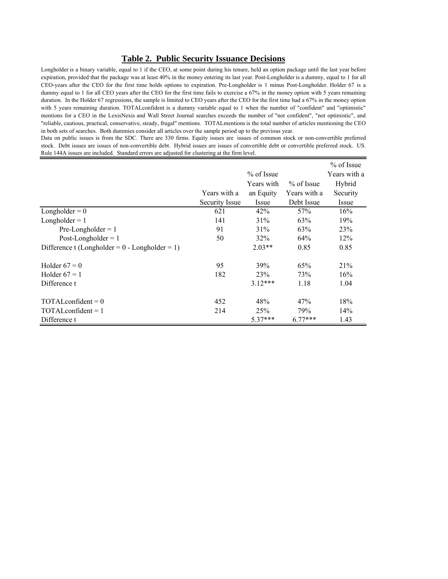### **Table 2. Public Security Issuance Decisions**

Longholder is a binary variable, equal to 1 if the CEO, at some point during his tenure, held an option package until the last year before expiration, provided that the package was at least 40% in the money entering its last year. Post-Longholder is a dummy, equal to 1 for all CEO-years after the CEO for the first time holds options to expiration. Pre-Longholder is 1 minus Post-Longholder. Holder 67 is a dummy equal to 1 for all CEO years after the CEO for the first time fails to exercise a 67% in the money option with 5 years remaining duration. In the Holder 67 regressions, the sample is limited to CEO years after the CEO for the first time had a 67% in the money option with 5 years remaining duration. TOTALconfident is a dummy variable equal to 1 when the number of "confident" and "optimistic" mentions for a CEO in the LexisNexis and Wall Street Journal searches exceeds the number of "not confident", "not optimistic", and "reliable, cautious, practical, conservative, steady, frugal" mentions. TOTALmentions is the total number of articles mentioning the CEO in both sets of searches. Both dummies consider all articles over the sample period up to the previous year.

Data on public issues is from the SDC. There are 330 firms. Equity issues are issues of common stock or non-convertible preferred stock. Debt issues are issues of non-convertible debt. Hybrid issues are issues of convertible debt or convertible preferred stock. US. Rule 144A issues are included. Standard errors are adjusted for clustering at the firm level.

|                                                  |                |              |              | $%$ of Issue |
|--------------------------------------------------|----------------|--------------|--------------|--------------|
|                                                  |                | $%$ of Issue |              | Years with a |
|                                                  |                | Years with   | $%$ of Issue | Hybrid       |
|                                                  | Years with a   | an Equity    | Years with a | Security     |
|                                                  | Security Issue | Issue        | Debt Issue   | Issue        |
| Longholder = $0$                                 | 621            | 42%          | 57%          | 16%          |
| $Longholder = 1$                                 | 141            | 31%          | 63%          | 19%          |
| $Pre-Longholder = 1$                             | 91             | 31%          | 63%          | 23%          |
| Post-Longholder $= 1$                            | 50             | 32%          | 64%          | 12%          |
| Difference t (Longholder = $0$ - Longholder = 1) |                | $2.03**$     | 0.85         | 0.85         |
| Holder $67 = 0$                                  | 95             | 39%          | 65%          | 21%          |
| Holder $67 = 1$                                  | 182            | <b>23%</b>   | 73%          | 16%          |
| Difference t                                     |                | $3.12***$    | 1.18         | 1.04         |
| $TOTALconfident = 0$                             | 452            | 48%          | 47%          | 18%          |
| $TOTALconfident = 1$                             | 214            | 25%          | 79%          | 14%          |
| Difference t                                     |                | $5.37***$    | $6.77***$    | 1.43         |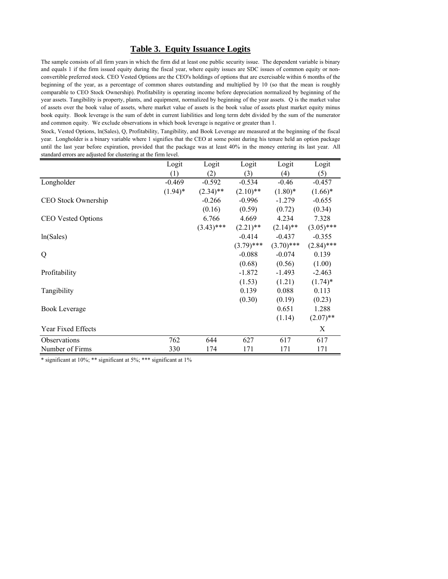### **Table 3. Equity Issuance Logits**

The sample consists of all firm years in which the firm did at least one public security issue. The dependent variable is binary and equals 1 if the firm issued equity during the fiscal year, where equity issues are SDC issues of common equity or nonconvertible preferred stock. CEO Vested Options are the CEO's holdings of options that are exercisable within 6 months of the beginning of the year, as a percentage of common shares outstanding and multiplied by 10 (so that the mean is roughly comparable to CEO Stock Ownership). Profitability is operating income before depreciation normalized by beginning of the year assets. Tangibility is property, plants, and equipment, normalized by beginning of the year assets. Q is the market value of assets over the book value of assets, where market value of assets is the book value of assets plust market equity minus book equity. Book leverage is the sum of debt in current liabilities and long term debt divided by the sum of the numerator and common equity. We exclude observations in which book leverage is negative or greater than 1.

Stock, Vested Options, ln(Sales), Q, Profitability, Tangibility, and Book Leverage are measured at the beginning of the fiscal year. Longholder is a binary variable where 1 signifies that the CEO at some point during his tenure held an option package until the last year before expiration, provided that the package was at least 40% in the money entering its last year. All standard errors are adjusted for clustering at the firm level.

|                           | Logit      | Logit        | Logit        | Logit        | Logit        |
|---------------------------|------------|--------------|--------------|--------------|--------------|
|                           | (1)        | (2)          | (3)          | (4)          | (5)          |
| Longholder                | $-0.469$   | $-0.592$     | $-0.534$     | $-0.46$      | $-0.457$     |
|                           | $(1.94)^*$ | $(2.34)$ **  | $(2.10)$ **  | $(1.80)$ *   | $(1.66)^*$   |
| CEO Stock Ownership       |            | $-0.266$     | $-0.996$     | $-1.279$     | $-0.655$     |
|                           |            | (0.16)       | (0.59)       | (0.72)       | (0.34)       |
| <b>CEO Vested Options</b> |            | 6.766        | 4.669        | 4.234        | 7.328        |
|                           |            | $(3.43)$ *** | $(2.21)$ **  | $(2.14)$ **  | $(3.05)$ *** |
| ln(Sales)                 |            |              | $-0.414$     | $-0.437$     | $-0.355$     |
|                           |            |              | $(3.79)$ *** | $(3.70)$ *** | $(2.84)$ *** |
| Q                         |            |              | $-0.088$     | $-0.074$     | 0.139        |
|                           |            |              | (0.68)       | (0.56)       | (1.00)       |
| Profitability             |            |              | $-1.872$     | $-1.493$     | $-2.463$     |
|                           |            |              | (1.53)       | (1.21)       | $(1.74)^*$   |
| Tangibility               |            |              | 0.139        | 0.088        | 0.113        |
|                           |            |              | (0.30)       | (0.19)       | (0.23)       |
| <b>Book Leverage</b>      |            |              |              | 0.651        | 1.288        |
|                           |            |              |              | (1.14)       | $(2.07)$ **  |
| Year Fixed Effects        |            |              |              |              | Χ            |
| Observations              | 762        | 644          | 627          | 617          | 617          |
| Number of Firms           | 330        | 174          | 171          | 171          | 171          |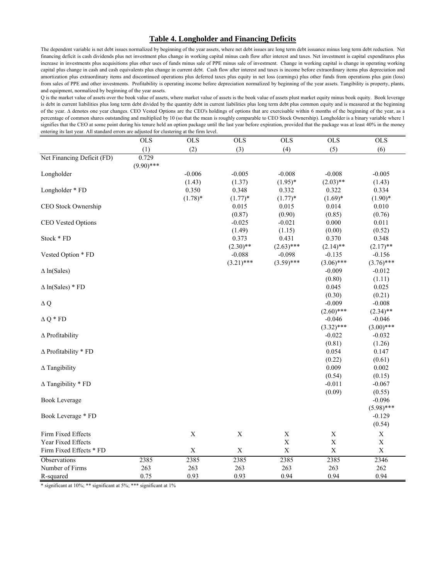### **Table 4. Longholder and Financing Deficits**

The dependent variable is net debt issues normalized by beginning of the year assets, where net debt issues are long term debt issuance minus long term debt reduction. Net financing deficit is cash dividends plus net investment plus change in working capital minus cash flow after interest and taxes. Net investment is capital expenditures plus increase in investments plus acquisitions plus other uses of funds minus sale of PPE minus sale of investment. Change in working capital is change in operating working capital plus change in cash and cash equivalents plus change in current debt. Cash flow after interest and taxes is income before extraordinary items plus depreciation and amortization plus extraordinary items and discontinued operations plus deferred taxes plus equity in net loss (earnings) plus other funds from operations plus gain (loss) from sales of PPE and other investments. Profitability is operating income before depreciation normalized by beginning of the year assets. Tangibility is property, plants, and equipment, normalized by beginning of the year assets.

Q is the market value of assets over the book value of assets, where market value of assets is the book value of assets plust market equity minus book equity. Book leverage is debt in current liabilities plus long term debt divided by the quantity debt in current liabilities plus long term debt plus common equity and is measured at the beginning of the year. ∆ denotes one year changes. CEO Vested Options are the CEO's holdings of options that are exercisable within 6 months of the beginning of the year, as a percentage of common shares outstanding and multiplied by 10 (so that the mean is roughly comparable to CEO Stock Ownership). Longholder is a binary variable where 1 signifies that the CEO at some point during his tenure held an option package until the last year before expiration, provided that the package was at least 40% in the money entering its last year. All standard errors are adjusted for clustering at the firm level.

|                                | $\overline{OLS}$      | $OLS$       | $OLS$        | $OLS$          | $OLS$        | $OLS$        |
|--------------------------------|-----------------------|-------------|--------------|----------------|--------------|--------------|
|                                | (1)                   | (2)         | (3)          | (4)            | (5)          | (6)          |
| Net Financing Deficit (FD)     | 0.729<br>$(9.90)$ *** |             |              |                |              |              |
| Longholder                     |                       | $-0.006$    | $-0.005$     | $-0.008$       | $-0.008$     | $-0.005$     |
|                                |                       | (1.43)      | (1.37)       | $(1.95)^*$     | $(2.03)$ **  | (1.43)       |
| Longholder * FD                |                       | 0.350       | 0.348        | 0.332          | 0.322        | 0.334        |
|                                |                       | $(1.78)$ *  | $(1.77)*$    | $(1.77)$ *     | $(1.69)*$    | $(1.90)*$    |
| CEO Stock Ownership            |                       |             | 0.015        | 0.015          | 0.014        | 0.010        |
|                                |                       |             | (0.87)       | (0.90)         | (0.85)       | (0.76)       |
| CEO Vested Options             |                       |             | $-0.025$     | $-0.021$       | 0.000        | 0.011        |
|                                |                       |             | (1.49)       | (1.15)         | (0.00)       | (0.52)       |
| Stock * FD                     |                       |             | 0.373        | 0.431          | 0.370        | 0.348        |
|                                |                       |             | $(2.30)$ **  | $(2.63)$ ***   | $(2.14)$ **  | $(2.17)$ **  |
| Vested Option * FD             |                       |             | $-0.088$     | $-0.098$       | $-0.135$     | $-0.156$     |
|                                |                       |             | $(3.21)$ *** | $(3.59)$ ***   | $(3.06)$ *** | $(3.76)$ *** |
| $\Delta$ ln(Sales)             |                       |             |              |                | $-0.009$     | $-0.012$     |
|                                |                       |             |              |                | (0.80)       | (1.11)       |
| $\Delta$ ln(Sales) * FD        |                       |             |              |                | 0.045        | 0.025        |
|                                |                       |             |              |                | (0.30)       | (0.21)       |
| $\Delta$ Q                     |                       |             |              |                | $-0.009$     | $-0.008$     |
|                                |                       |             |              |                | $(2.60)$ *** | $(2.34)$ **  |
| $\Delta Q * FD$                |                       |             |              |                | $-0.046$     | $-0.046$     |
|                                |                       |             |              |                | $(3.32)$ *** | $(3.00)$ *** |
| $\Delta$ Profitability         |                       |             |              |                | $-0.022$     | $-0.032$     |
|                                |                       |             |              |                | (0.81)       | (1.26)       |
| $\triangle$ Profitability * FD |                       |             |              |                | 0.054        | 0.147        |
|                                |                       |             |              |                | (0.22)       | (0.61)       |
| $\Delta$ Tangibility           |                       |             |              |                | 0.009        | 0.002        |
|                                |                       |             |              |                | (0.54)       | (0.15)       |
| $\Delta$ Tangibility * FD      |                       |             |              |                | $-0.011$     | $-0.067$     |
|                                |                       |             |              |                | (0.09)       | (0.55)       |
| <b>Book Leverage</b>           |                       |             |              |                |              | $-0.096$     |
|                                |                       |             |              |                |              | $(5.98)$ *** |
| Book Leverage * FD             |                       |             |              |                |              | $-0.129$     |
|                                |                       |             |              |                |              | (0.54)       |
| Firm Fixed Effects             |                       | $\mathbf X$ | $\mathbf X$  | $\mathbf X$    | $\mathbf X$  | $\mathbf X$  |
| Year Fixed Effects             |                       |             |              | $\overline{X}$ | $\mathbf X$  | $\mathbf X$  |
| Firm Fixed Effects * FD        |                       | $\mathbf X$ | $\mathbf X$  | $\mathbf X$    | $\mathbf X$  | $\mathbf X$  |
| Observations                   | 2385                  | 2385        | 2385         | 2385           | 2385         | 2346         |
| Number of Firms                | 263                   | 263         | 263          | 263            | 263          | 262          |
|                                | 0.75                  | 0.93        | 0.93         | 0.94           | 0.94         | 0.94         |
| R-squared                      |                       |             |              |                |              |              |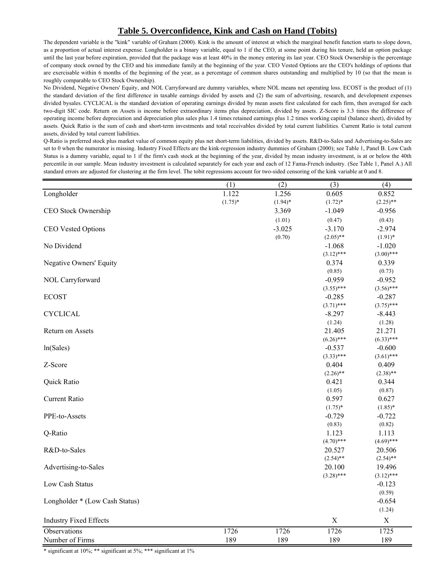# **Table 5. Overconfidence, Kink and Cash on Hand (Tobits)**

The dependent variable is the "kink" variable of Graham (2000). Kink is the amount of interest at which the marginal benefit function starts to slope down, as a proportion of actual interest expense. Longholder is a binary variable, equal to 1 if the CEO, at some point during his tenure, held an option package until the last year before expiration, provided that the package was at least 40% in the money entering its last year. CEO Stock Ownership is the percentage of company stock owned by the CEO and his immediate family at the beginning of the year. CEO Vested Options are the CEO's holdings of options that are exercisable within 6 months of the beginning of the year, as a percentage of common shares outstanding and multiplied by 10 (so that the mean is roughly comparable to CEO Stock Ownership).

No Dividend, Negative Owners' Equity, and NOL Carryforward are dummy variables, where NOL means net operating loss. ECOST is the product of (1) the standard deviation of the first difference in taxable earnings divided by assets and (2) the sum of advertising, research, and development expenses divided bysales. CYCLICAL is the standard deviation of operating earnings divided by mean assets first calculated for each firm, then averaged for each two-digit SIC code. Return on Assets is income before extraordinary items plus depreciation, divided by assets. Z-Score is 3.3 times the difference of operating income before depreciation and depreciation plus sales plus 1.4 times retained earnings plus 1.2 times working capital (balance sheet), divided by assets. Quick Ratio is the sum of cash and short-term investments and total receivables divided by total current liabilities. Current Ratio is total current assets, divided by total current liabilities.

Q-Ratio is preferred stock plus market value of common equity plus net short-term liabilities, divided by assets. R&D-to-Sales and Advertising-to-Sales are set to 0 when the numerator is missing. Industry Fixed Effects are the kink-regression industry dummies of Graham (2000); see Table 1, Panel B. Low Cash Status is a dummy variable, equal to 1 if the firm's cash stock at the beginning of the year, divided by mean industry investment, is at or below the 40th percentile in our sample. Mean industry investment is calculated separately for each year and each of 12 Fama-French industry. (See Table 1, Panel A.) All standard errors are adjusted for clustering at the firm level. The tobit regressions account for two-sided censoring of the kink variable at 0 and 8.

|                                | (1)        | (2)        | (3)          | (4)          |
|--------------------------------|------------|------------|--------------|--------------|
| Longholder                     | 1.122      | 1.256      | 0.605        | 0.852        |
|                                | $(1.75)^*$ | $(1.94)$ * | $(1.72)^*$   | $(2.25)$ **  |
| CEO Stock Ownership            |            | 3.369      | $-1.049$     | $-0.956$     |
|                                |            | (1.01)     | (0.47)       | (0.43)       |
| CEO Vested Options             |            | $-3.025$   | $-3.170$     | $-2.974$     |
|                                |            | (0.70)     | $(2.05)$ **  | $(1.91)$ *   |
| No Dividend                    |            |            | $-1.068$     | $-1.020$     |
|                                |            |            | $(3.12)$ *** | $(3.00)$ *** |
| Negative Owners' Equity        |            |            | 0.374        | 0.339        |
|                                |            |            | (0.85)       | (0.73)       |
| NOL Carryforward               |            |            | $-0.959$     | $-0.952$     |
|                                |            |            | $(3.55)$ *** | $(3.56)$ *** |
| <b>ECOST</b>                   |            |            | $-0.285$     | $-0.287$     |
|                                |            |            | $(3.71)$ *** | $(3.75)$ *** |
| <b>CYCLICAL</b>                |            |            | $-8.297$     | $-8.443$     |
|                                |            |            | (1.24)       | (1.28)       |
| Return on Assets               |            |            | 21.405       | 21.271       |
|                                |            |            | $(6.26)$ *** | $(6.33)$ *** |
| ln(Sales)                      |            |            | $-0.537$     | $-0.600$     |
|                                |            |            | $(3.33)$ *** | $(3.61)$ *** |
| Z-Score                        |            |            | 0.404        | 0.409        |
|                                |            |            | $(2.26)$ **  | $(2.38)$ **  |
| Quick Ratio                    |            |            | 0.421        | 0.344        |
|                                |            |            | (1.05)       | (0.87)       |
| Current Ratio                  |            |            | 0.597        | 0.627        |
|                                |            |            | $(1.75)^*$   | $(1.85)*$    |
| PPE-to-Assets                  |            |            | $-0.729$     | $-0.722$     |
|                                |            |            | (0.83)       | (0.82)       |
| Q-Ratio                        |            |            | 1.123        | 1.113        |
|                                |            |            | $(4.70)$ *** | $(4.69)$ *** |
| R&D-to-Sales                   |            |            | 20.527       | 20.506       |
|                                |            |            | $(2.54)$ **  | $(2.54)$ **  |
| Advertising-to-Sales           |            |            | 20.100       | 19.496       |
|                                |            |            | $(3.28)$ *** | $(3.12)$ *** |
| Low Cash Status                |            |            |              | $-0.123$     |
|                                |            |            |              | (0.59)       |
| Longholder * (Low Cash Status) |            |            |              | $-0.654$     |
|                                |            |            |              | (1.24)       |
| <b>Industry Fixed Effects</b>  |            |            | $\mathbf X$  | $\mathbf X$  |
| Observations                   | 1726       | 1726       | 1726         | 1725         |
| Number of Firms                | 189        | 189        | 189          | 189          |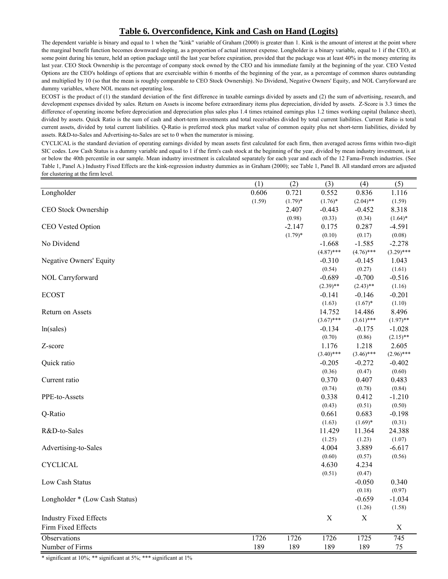# **Table 6. Overconfidence, Kink and Cash on Hand (Logits)**

The dependent variable is binary and equal to 1 when the "kink" variable of Graham (2000) is greater than 1. Kink is the amount of interest at the point where the marginal benefit function becomes downward sloping, as a proportion of actual interest expense. Longholder is a binary variable, equal to 1 if the CEO, at some point during his tenure, held an option package until the last year before expiration, provided that the package was at least 40% in the money entering its last year. CEO Stock Ownership is the percentage of company stock owned by the CEO and his immediate family at the beginning of the year. CEO Vested Options are the CEO's holdings of options that are exercisable within 6 months of the beginning of the year, as a percentage of common shares outstanding and multiplied by 10 (so that the mean is roughly comparable to CEO Stock Ownership). No Dividend, Negative Owners' Equity, and NOL Carryforward are dummy variables, where NOL means net operating loss.

ECOST is the product of (1) the standard deviation of the first difference in taxable earnings divided by assets and (2) the sum of advertising, research, and development expenses divided by sales. Return on Assets is income before extraordinary items plus depreciation, divided by assets. Z-Score is 3.3 times the difference of operating income before depreciation and depreciation plus sales plus 1.4 times retained earnings plus 1.2 times working capital (balance sheet), divided by assets. Quick Ratio is the sum of cash and short-term investments and total receivables divided by total current liabilities. Current Ratio is total current assets, divided by total current liabilities. Q-Ratio is preferred stock plus market value of common equity plus net short-term liabilities, divided by assets. R&D-to-Sales and Advertising-to-Sales are set to 0 when the numerator is missing.

CYCLICAL is the standard deviation of operating earnings divided by mean assets first calculated for each firm, then averaged across firms within two-digit SIC codes. Low Cash Status is a dummy variable and equal to 1 if the firm's cash stock at the beginning of the year, divided by mean industry investment, is at or below the 40th percentile in our sample. Mean industry investment is calculated separately for each year and each of the 12 Fama-French industries. (See Table 1, Panel A.) Industry Fixed Effects are the kink-regression industry dummies as in Graham (2000); see Table 1, Panel B. All standard errors are adjusted for clustering at the firm level.

|                                | $\overline{(1)}$ | $\overline{(2)}$ | (3)              | $\overline{(4)}$ | $\overline{(5)}$ |
|--------------------------------|------------------|------------------|------------------|------------------|------------------|
| Longholder                     | 0.606            | 0.721            | 0.552            | 0.836            | 1.116            |
|                                | (1.59)           | $(1.79)*$        | $(1.76)$ *       | $(2.04)$ **      | (1.59)           |
| CEO Stock Ownership            |                  | 2.407            | $-0.443$         | $-0.452$         | 8.318            |
|                                |                  | (0.98)           | (0.33)           | (0.34)           | $(1.64)$ *       |
| CEO Vested Option              |                  | $-2.147$         | 0.175            | 0.287            | $-4.591$         |
|                                |                  | $(1.79)*$        | (0.10)           | (0.17)           | (0.08)           |
| No Dividend                    |                  |                  | $-1.668$         | $-1.585$         | $-2.278$         |
|                                |                  |                  | $(4.87)$ ***     | $(4.76)$ ***     | $(3.29)$ ***     |
| Negative Owners' Equity        |                  |                  | $-0.310$         | $-0.145$         | 1.043            |
|                                |                  |                  | (0.54)           | (0.27)           | (1.61)           |
| NOL Carryforward               |                  |                  | $-0.689$         | $-0.700$         | $-0.516$         |
|                                |                  |                  | $(2.39)$ **      | $(2.43)$ **      | (1.16)           |
| <b>ECOST</b>                   |                  |                  | $-0.141$         | $-0.146$         | $-0.201$         |
|                                |                  |                  | (1.63)           | $(1.67)^*$       | (1.10)           |
| Return on Assets               |                  |                  | 14.752           | 14.486           | 8.496            |
|                                |                  |                  | $(3.67)$ ***     | $(3.61)$ ***     | $(1.97)$ **      |
| ln(sales)                      |                  |                  | $-0.134$         | $-0.175$         | $-1.028$         |
|                                |                  |                  | (0.70)           | (0.86)           | $(2.15)$ **      |
| Z-score                        |                  |                  | 1.176            | 1.218            | 2.605            |
|                                |                  |                  | $(3.40)$ ***     | $(3.46)$ ***     | $(2.96)$ ***     |
| Quick ratio                    |                  |                  | $-0.205$         | $-0.272$         | $-0.402$         |
|                                |                  |                  | (0.36)           | (0.47)           | (0.60)           |
| Current ratio                  |                  |                  | 0.370            | 0.407            | 0.483            |
|                                |                  |                  | (0.74)           | (0.78)           | (0.84)           |
| PPE-to-Assets                  |                  |                  | 0.338            | 0.412            | $-1.210$         |
|                                |                  |                  | (0.43)           | (0.51)           | (0.50)           |
| Q-Ratio                        |                  |                  | 0.661            | 0.683            | $-0.198$         |
| R&D-to-Sales                   |                  |                  | (1.63)           | $(1.69)*$        | (0.31)<br>24.388 |
|                                |                  |                  | 11.429<br>(1.25) | 11.364<br>(1.23) | (1.07)           |
| Advertising-to-Sales           |                  |                  | 4.004            | 3.889            | $-6.617$         |
|                                |                  |                  | (0.60)           | (0.57)           | (0.56)           |
| <b>CYCLICAL</b>                |                  |                  | 4.630            | 4.234            |                  |
|                                |                  |                  | (0.51)           | (0.47)           |                  |
| Low Cash Status                |                  |                  |                  | $-0.050$         | 0.340            |
|                                |                  |                  |                  | (0.18)           | (0.97)           |
| Longholder * (Low Cash Status) |                  |                  |                  | $-0.659$         | $-1.034$         |
|                                |                  |                  |                  | (1.26)           | (1.58)           |
| <b>Industry Fixed Effects</b>  |                  |                  | $\mathbf X$      | $\mathbf X$      |                  |
| Firm Fixed Effects             |                  |                  |                  |                  | $\mathbf X$      |
|                                |                  |                  |                  |                  |                  |
| Observations                   | 1726             | 1726             | 1726             | 1725             | 745              |
| Number of Firms                | 189              | 189              | 189              | 189              | 75               |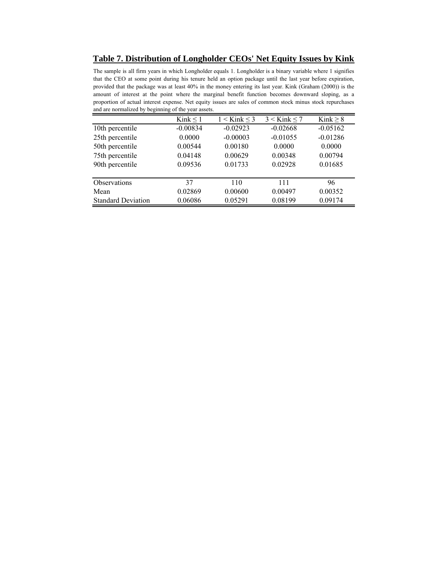**Table 7. Distribution of Longholder CEOs' Net Equity Issues by Kink**

The sample is all firm years in which Longholder equals 1. Longholder is a binary variable where 1 signifies that the CEO at some point during his tenure held an option package until the last year before expiration, provided that the package was at least 40% in the money entering its last year. Kink (Graham (2000)) is the amount of interest at the point where the marginal benefit function becomes downward sloping, as a proportion of actual interest expense. Net equity issues are sales of common stock minus stock repurchases and are normalized by beginning of the year assets.

|                           | Kink $\leq$ 1 | $1 <$ Kink $\leq$ 3 | $3 <$ Kink $\leq 7$ | Kink $\geq 8$ |
|---------------------------|---------------|---------------------|---------------------|---------------|
| 10th percentile           | $-0.00834$    | $-0.02923$          | $-0.02668$          | $-0.05162$    |
| 25th percentile           | 0.0000        | $-0.00003$          | $-0.01055$          | $-0.01286$    |
| 50th percentile           | 0.00544       | 0.00180             | 0.0000              | 0.0000        |
| 75th percentile           | 0.04148       | 0.00629             | 0.00348             | 0.00794       |
| 90th percentile           | 0.09536       | 0.01733             | 0.02928             | 0.01685       |
|                           |               |                     |                     |               |
| <b>Observations</b>       | 37            | 110                 | 111                 | 96            |
| Mean                      | 0.02869       | 0.00600             | 0.00497             | 0.00352       |
| <b>Standard Deviation</b> | 0.06086       | 0.05291             | 0.08199             | 0.09174       |